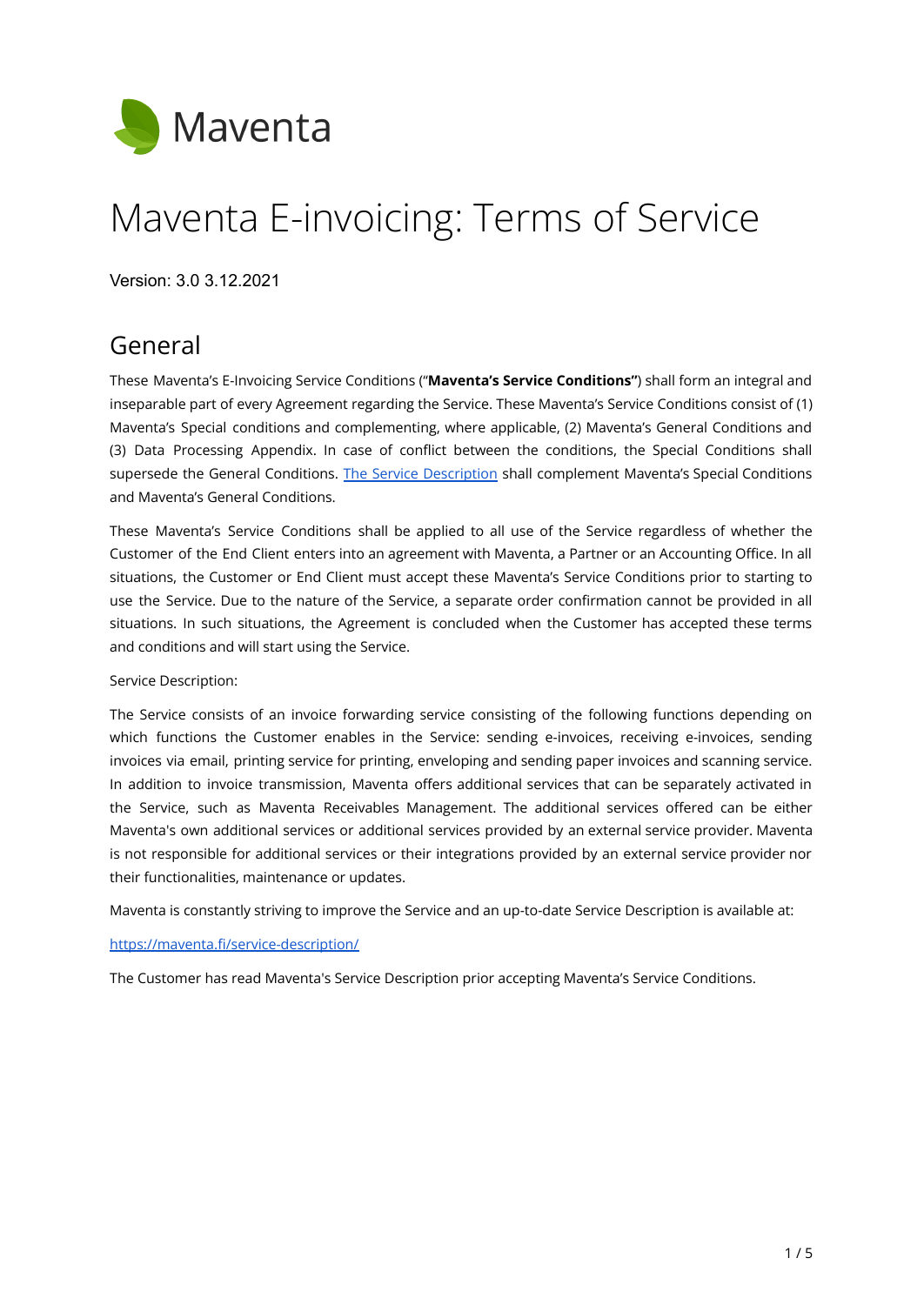

# Maventa E-invoicing: Terms of Service

Version: 3.0 3.12.2021

# General

These Maventa's E-Invoicing Service Conditions ("**Maventa's Service Conditions"**) shall form an integral and inseparable part of every Agreement regarding the Service. These Maventa's Service Conditions consist of (1) Maventa's Special conditions and complementing, where applicable, (2) Maventa's General Conditions and (3) Data Processing Appendix. In case of conflict between the conditions, the Special Conditions shall supersede the General Conditions. The Service [Description](https://maventa.fi/service-description/) shall complement Maventa's Special Conditions and Maventa's General Conditions.

These Maventa's Service Conditions shall be applied to all use of the Service regardless of whether the Customer of the End Client enters into an agreement with Maventa, a Partner or an Accounting Office. In all situations, the Customer or End Client must accept these Maventa's Service Conditions prior to starting to use the Service. Due to the nature of the Service, a separate order confirmation cannot be provided in all situations. In such situations, the Agreement is concluded when the Customer has accepted these terms and conditions and will start using the Service.

#### Service Description:

The Service consists of an invoice forwarding service consisting of the following functions depending on which functions the Customer enables in the Service: sending e-invoices, receiving e-invoices, sending invoices via email, printing service for printing, enveloping and sending paper invoices and scanning service. In addition to invoice transmission, Maventa offers additional services that can be separately activated in the Service, such as Maventa Receivables Management. The additional services offered can be either Maventa's own additional services or additional services provided by an external service provider. Maventa is not responsible for additional services or their integrations provided by an external service provider nor their functionalities, maintenance or updates.

Maventa is constantly striving to improve the Service and an up-to-date Service Description is available at:

#### <https://maventa.fi/service-description/>

The Customer has read Maventa's Service Description prior accepting Maventa's Service Conditions.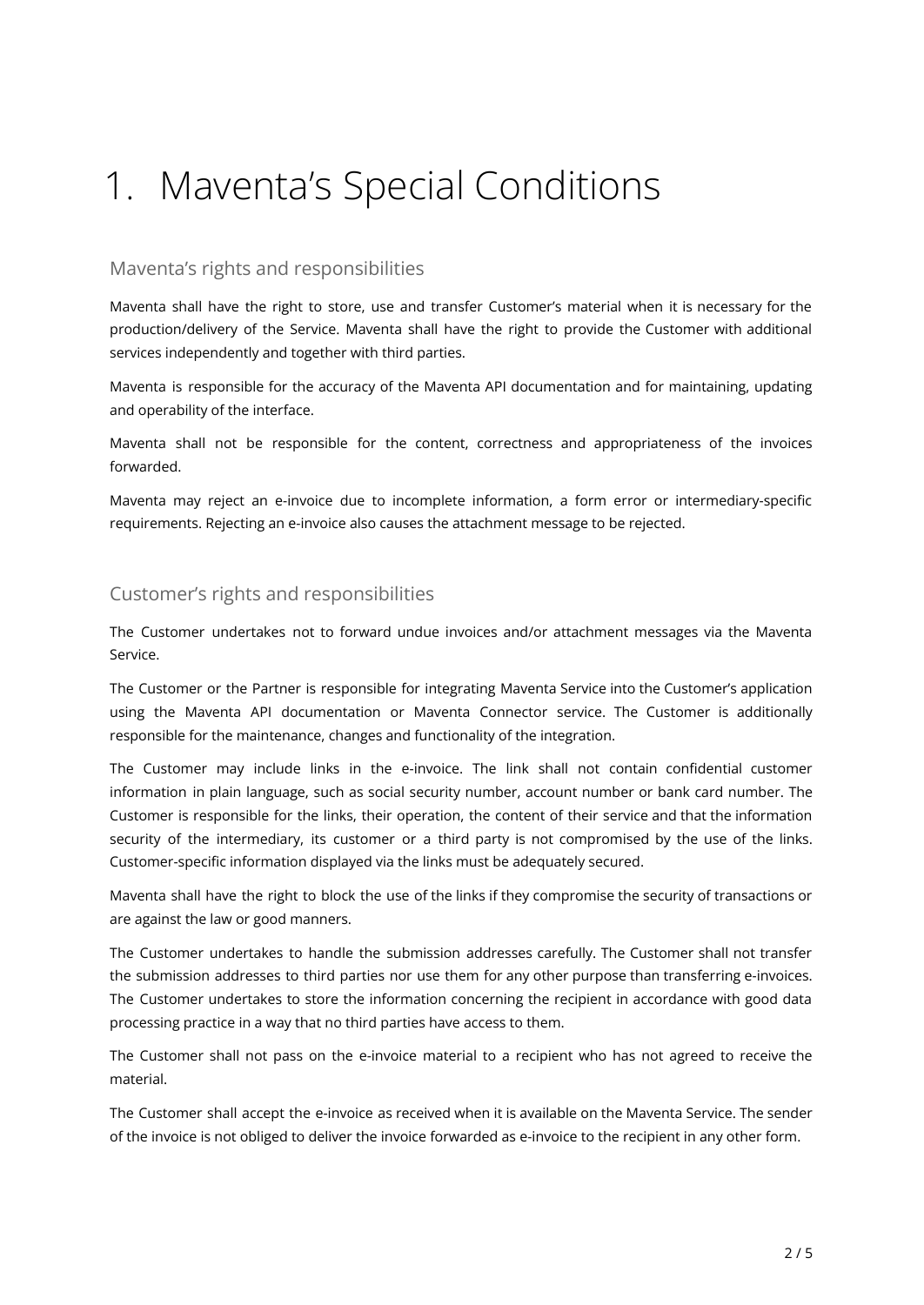# 1. Maventa's Special Conditions

### Maventa's rights and responsibilities

Maventa shall have the right to store, use and transfer Customer's material when it is necessary for the production/delivery of the Service. Maventa shall have the right to provide the Customer with additional services independently and together with third parties.

Maventa is responsible for the accuracy of the Maventa API documentation and for maintaining, updating and operability of the interface.

Maventa shall not be responsible for the content, correctness and appropriateness of the invoices forwarded.

Maventa may reject an e-invoice due to incomplete information, a form error or intermediary-specific requirements. Rejecting an e-invoice also causes the attachment message to be rejected.

### Customer's rights and responsibilities

The Customer undertakes not to forward undue invoices and/or attachment messages via the Maventa Service.

The Customer or the Partner is responsible for integrating Maventa Service into the Customer's application using the Maventa API documentation or Maventa Connector service. The Customer is additionally responsible for the maintenance, changes and functionality of the integration.

The Customer may include links in the e-invoice. The link shall not contain confidential customer information in plain language, such as social security number, account number or bank card number. The Customer is responsible for the links, their operation, the content of their service and that the information security of the intermediary, its customer or a third party is not compromised by the use of the links. Customer-specific information displayed via the links must be adequately secured.

Maventa shall have the right to block the use of the links if they compromise the security of transactions or are against the law or good manners.

The Customer undertakes to handle the submission addresses carefully. The Customer shall not transfer the submission addresses to third parties nor use them for any other purpose than transferring e-invoices. The Customer undertakes to store the information concerning the recipient in accordance with good data processing practice in a way that no third parties have access to them.

The Customer shall not pass on the e-invoice material to a recipient who has not agreed to receive the material.

The Customer shall accept the e-invoice as received when it is available on the Maventa Service. The sender of the invoice is not obliged to deliver the invoice forwarded as e-invoice to the recipient in any other form.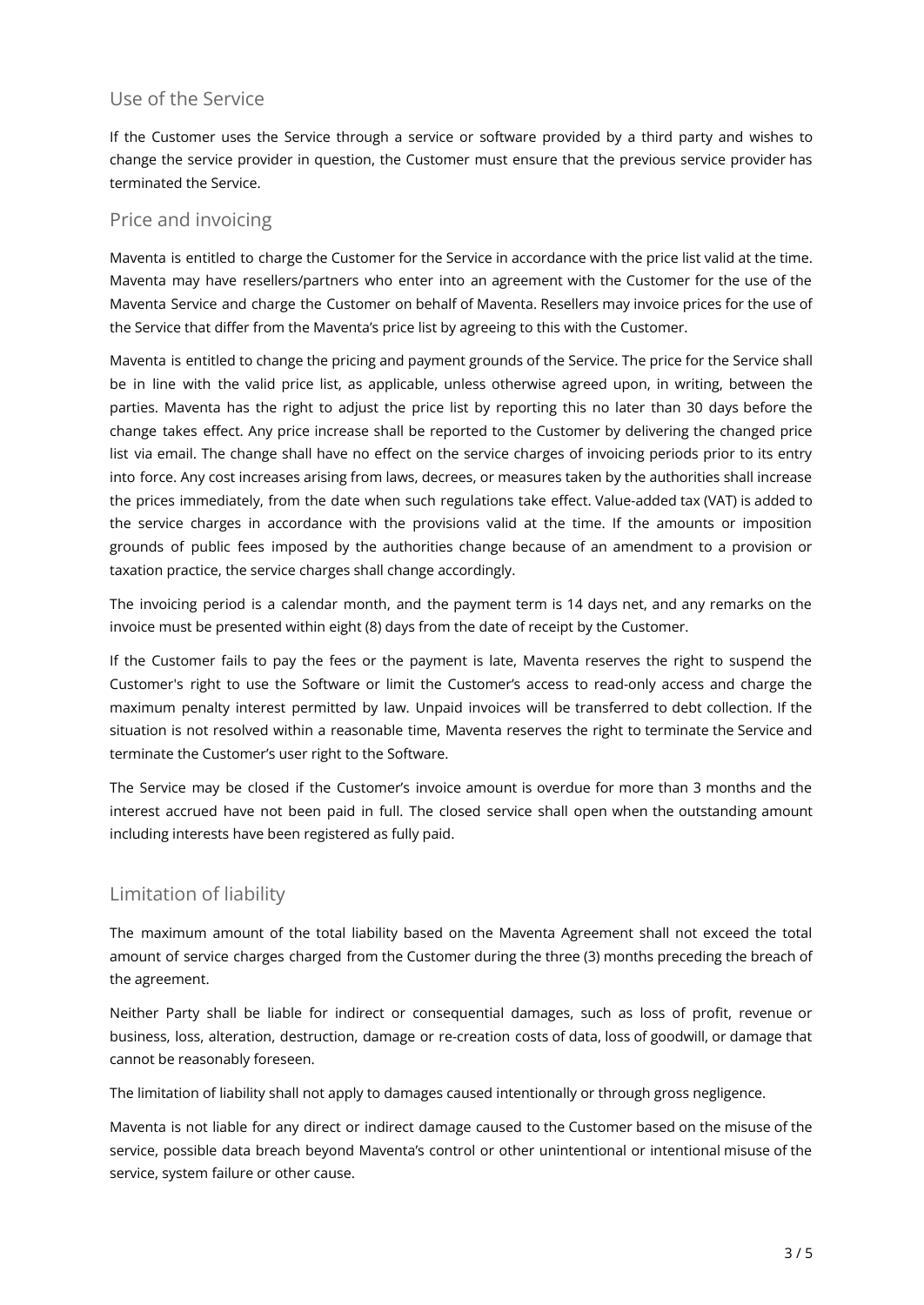### Use of the Service

If the Customer uses the Service through a service or software provided by a third party and wishes to change the service provider in question, the Customer must ensure that the previous service provider has terminated the Service.

### Price and invoicing

Maventa is entitled to charge the Customer for the Service in accordance with the price list valid at the time. Maventa may have resellers/partners who enter into an agreement with the Customer for the use of the Maventa Service and charge the Customer on behalf of Maventa. Resellers may invoice prices for the use of the Service that differ from the Maventa's price list by agreeing to this with the Customer.

Maventa is entitled to change the pricing and payment grounds of the Service. The price for the Service shall be in line with the valid price list, as applicable, unless otherwise agreed upon, in writing, between the parties. Maventa has the right to adjust the price list by reporting this no later than 30 days before the change takes effect. Any price increase shall be reported to the Customer by delivering the changed price list via email. The change shall have no effect on the service charges of invoicing periods prior to its entry into force. Any cost increases arising from laws, decrees, or measures taken by the authorities shall increase the prices immediately, from the date when such regulations take effect. Value-added tax (VAT) is added to the service charges in accordance with the provisions valid at the time. If the amounts or imposition grounds of public fees imposed by the authorities change because of an amendment to a provision or taxation practice, the service charges shall change accordingly.

The invoicing period is a calendar month, and the payment term is 14 days net, and any remarks on the invoice must be presented within eight (8) days from the date of receipt by the Customer.

If the Customer fails to pay the fees or the payment is late, Maventa reserves the right to suspend the Customer's right to use the Software or limit the Customer's access to read-only access and charge the maximum penalty interest permitted by law. Unpaid invoices will be transferred to debt collection. If the situation is not resolved within a reasonable time, Maventa reserves the right to terminate the Service and terminate the Customer's user right to the Software.

The Service may be closed if the Customer's invoice amount is overdue for more than 3 months and the interest accrued have not been paid in full. The closed service shall open when the outstanding amount including interests have been registered as fully paid.

### Limitation of liability

The maximum amount of the total liability based on the Maventa Agreement shall not exceed the total amount of service charges charged from the Customer during the three (3) months preceding the breach of the agreement.

Neither Party shall be liable for indirect or consequential damages, such as loss of profit, revenue or business, loss, alteration, destruction, damage or re-creation costs of data, loss of goodwill, or damage that cannot be reasonably foreseen.

The limitation of liability shall not apply to damages caused intentionally or through gross negligence.

Maventa is not liable for any direct or indirect damage caused to the Customer based on the misuse of the service, possible data breach beyond Maventa's control or other unintentional or intentional misuse of the service, system failure or other cause.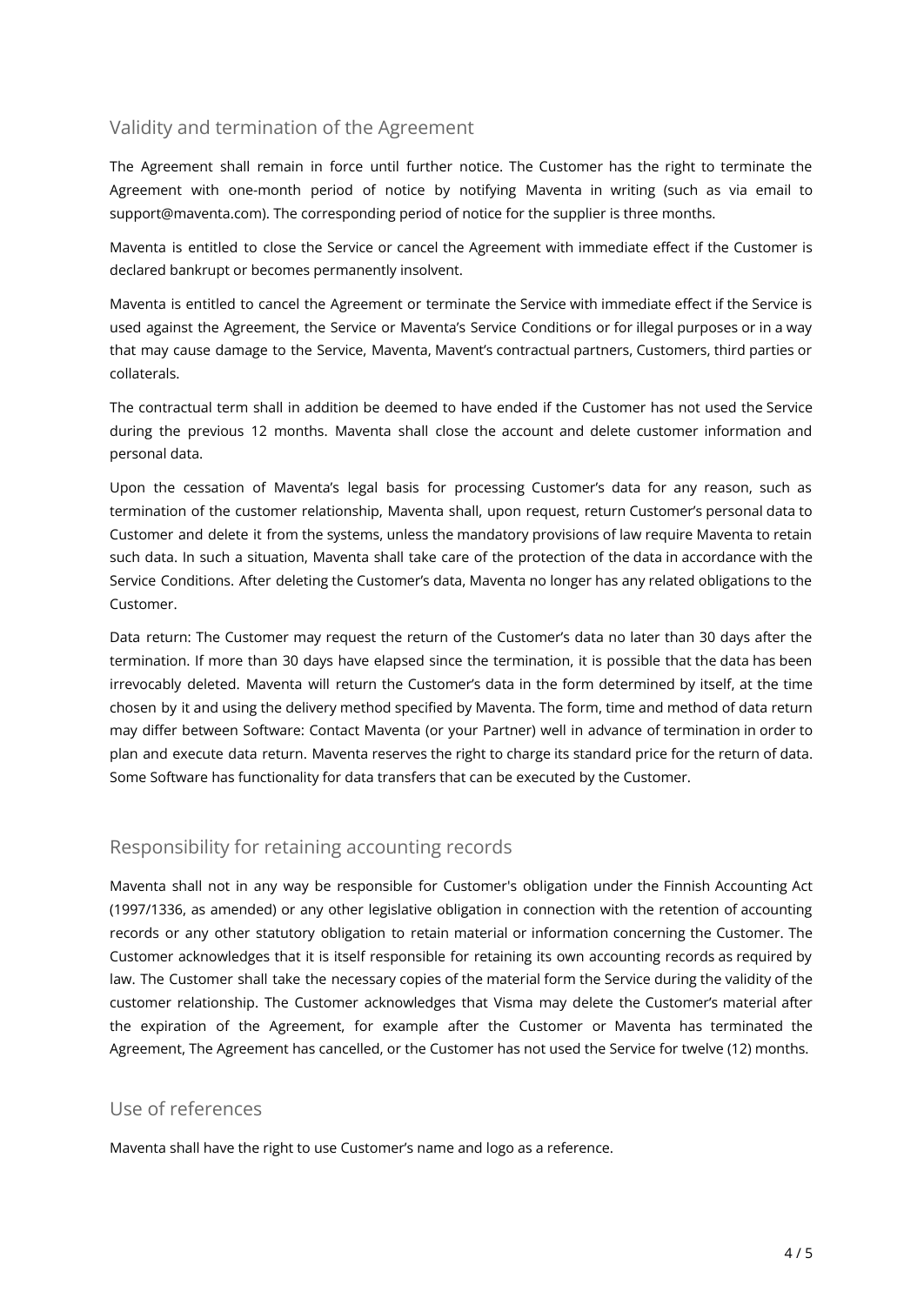### Validity and termination of the Agreement

The Agreement shall remain in force until further notice. The Customer has the right to terminate the Agreement with one-month period of notice by notifying Maventa in writing (such as via email to support@maventa.com). The corresponding period of notice for the supplier is three months.

Maventa is entitled to close the Service or cancel the Agreement with immediate effect if the Customer is declared bankrupt or becomes permanently insolvent.

Maventa is entitled to cancel the Agreement or terminate the Service with immediate effect if the Service is used against the Agreement, the Service or Maventa's Service Conditions or for illegal purposes or in a way that may cause damage to the Service, Maventa, Mavent's contractual partners, Customers, third parties or collaterals.

The contractual term shall in addition be deemed to have ended if the Customer has not used the Service during the previous 12 months. Maventa shall close the account and delete customer information and personal data.

Upon the cessation of Maventa's legal basis for processing Customer's data for any reason, such as termination of the customer relationship, Maventa shall, upon request, return Customer's personal data to Customer and delete it from the systems, unless the mandatory provisions of law require Maventa to retain such data. In such a situation, Maventa shall take care of the protection of the data in accordance with the Service Conditions. After deleting the Customer's data, Maventa no longer has any related obligations to the Customer.

Data return: The Customer may request the return of the Customer's data no later than 30 days after the termination. If more than 30 days have elapsed since the termination, it is possible that the data has been irrevocably deleted. Maventa will return the Customer's data in the form determined by itself, at the time chosen by it and using the delivery method specified by Maventa. The form, time and method of data return may differ between Software: Contact Maventa (or your Partner) well in advance of termination in order to plan and execute data return. Maventa reserves the right to charge its standard price for the return of data. Some Software has functionality for data transfers that can be executed by the Customer.

### Responsibility for retaining accounting records

Maventa shall not in any way be responsible for Customer's obligation under the Finnish Accounting Act (1997/1336, as amended) or any other legislative obligation in connection with the retention of accounting records or any other statutory obligation to retain material or information concerning the Customer. The Customer acknowledges that it is itself responsible for retaining its own accounting records as required by law. The Customer shall take the necessary copies of the material form the Service during the validity of the customer relationship. The Customer acknowledges that Visma may delete the Customer's material after the expiration of the Agreement, for example after the Customer or Maventa has terminated the Agreement, The Agreement has cancelled, or the Customer has not used the Service for twelve (12) months.

#### Use of references

Maventa shall have the right to use Customer's name and logo as a reference.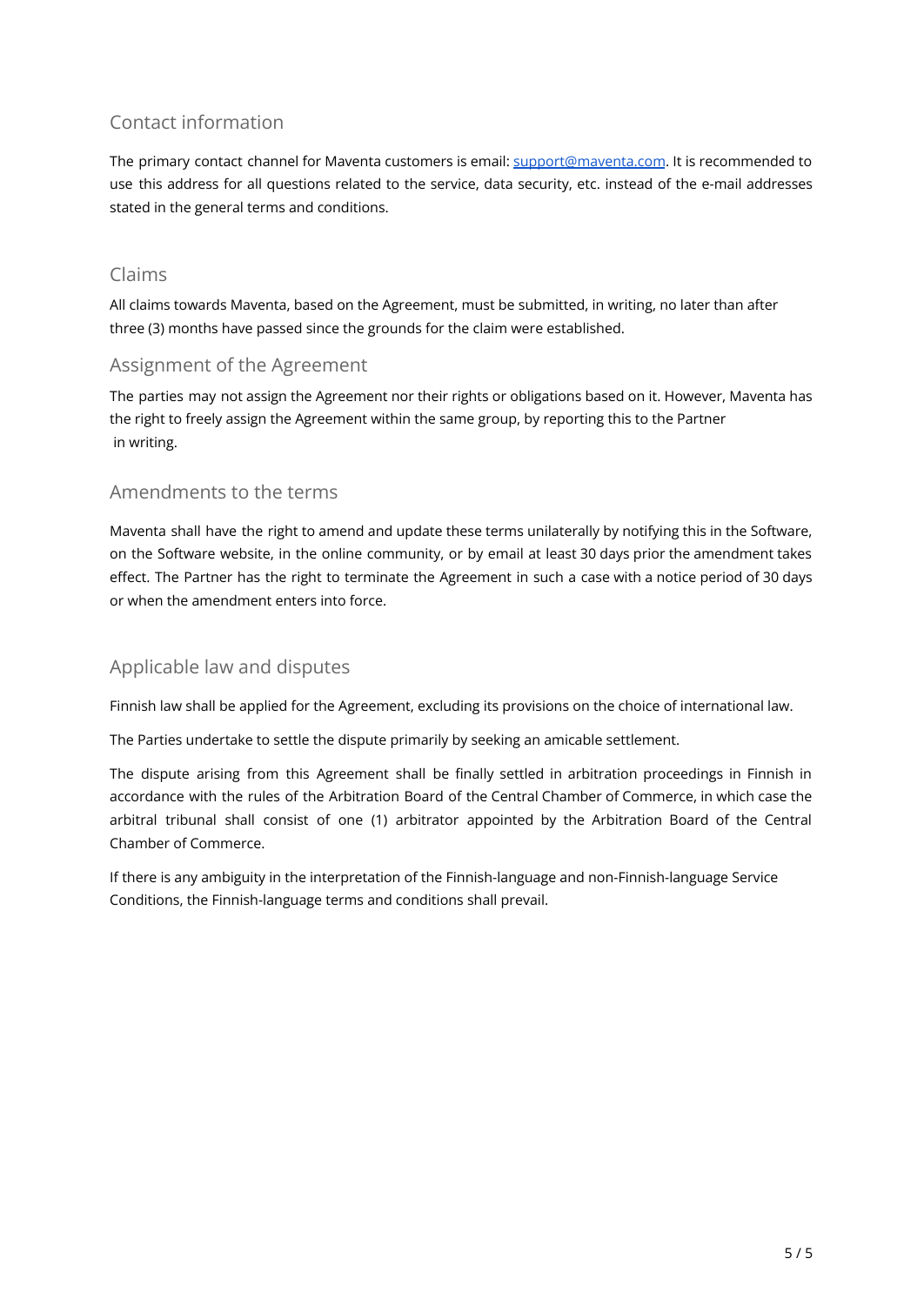### Contact information

The primary contact channel for Maventa customers is email: [support@maventa.com](mailto:support@maventa.com). It is recommended to use this address for all questions related to the service, data security, etc. instead of the e-mail addresses stated in the general terms and conditions.

### Claims

All claims towards Maventa, based on the Agreement, must be submitted, in writing, no later than after three (3) months have passed since the grounds for the claim were established.

### Assignment of the Agreement

The parties may not assign the Agreement nor their rights or obligations based on it. However, Maventa has the right to freely assign the Agreement within the same group, by reporting this to the Partner in writing.

### Amendments to the terms

Maventa shall have the right to amend and update these terms unilaterally by notifying this in the Software, on the Software website, in the online community, or by email at least 30 days prior the amendment takes effect. The Partner has the right to terminate the Agreement in such a case with a notice period of 30 days or when the amendment enters into force.

### Applicable law and disputes

Finnish law shall be applied for the Agreement, excluding its provisions on the choice of international law.

The Parties undertake to settle the dispute primarily by seeking an amicable settlement.

The dispute arising from this Agreement shall be finally settled in arbitration proceedings in Finnish in accordance with the rules of the Arbitration Board of the Central Chamber of Commerce, in which case the arbitral tribunal shall consist of one (1) arbitrator appointed by the Arbitration Board of the Central Chamber of Commerce.

If there is any ambiguity in the interpretation of the Finnish-language and non-Finnish-language Service Conditions, the Finnish-language terms and conditions shall prevail.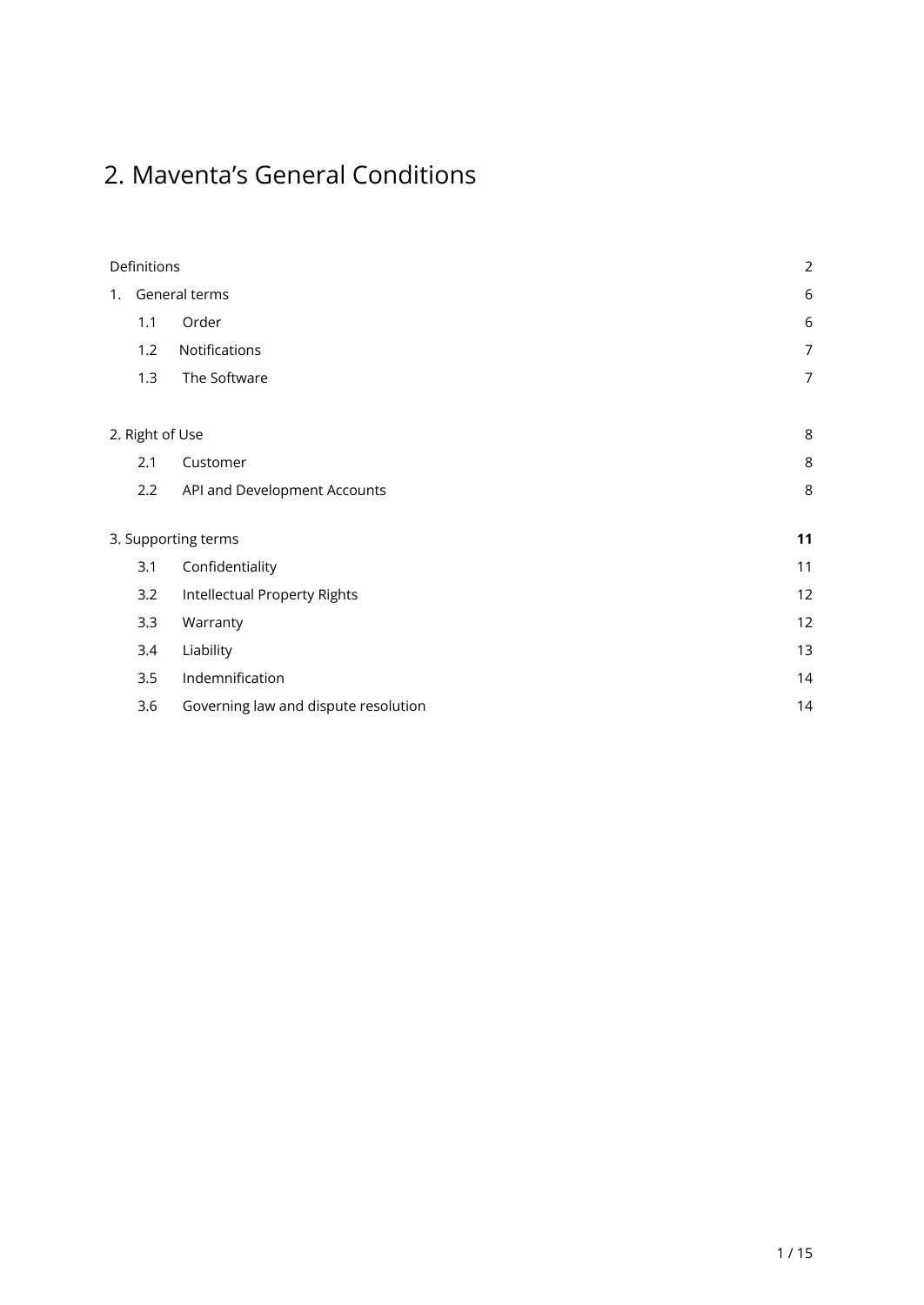# 2. Maventa's General Conditions

| Definitions                                 |                 |                              | $\overline{2}$   |
|---------------------------------------------|-----------------|------------------------------|------------------|
| 1.                                          | General terms   |                              | $\boldsymbol{6}$ |
|                                             | 1.1             | Order                        | 6                |
|                                             | 1.2             | Notifications                | 7                |
|                                             | 1.3             | The Software                 | 7                |
|                                             | 2. Right of Use |                              | 8                |
|                                             | 2.1             | Customer                     | 8                |
|                                             | 2.2             | API and Development Accounts | 8                |
| 3. Supporting terms                         |                 |                              | 11               |
|                                             | 3.1             | Confidentiality              | 11               |
|                                             | 3.2             | Intellectual Property Rights | 12               |
|                                             | 3.3             | Warranty                     | 12               |
|                                             | 3.4             | Liability                    | 13               |
| Indemnification<br>3.5                      |                 |                              | 14               |
| 3.6<br>Governing law and dispute resolution |                 |                              | 14               |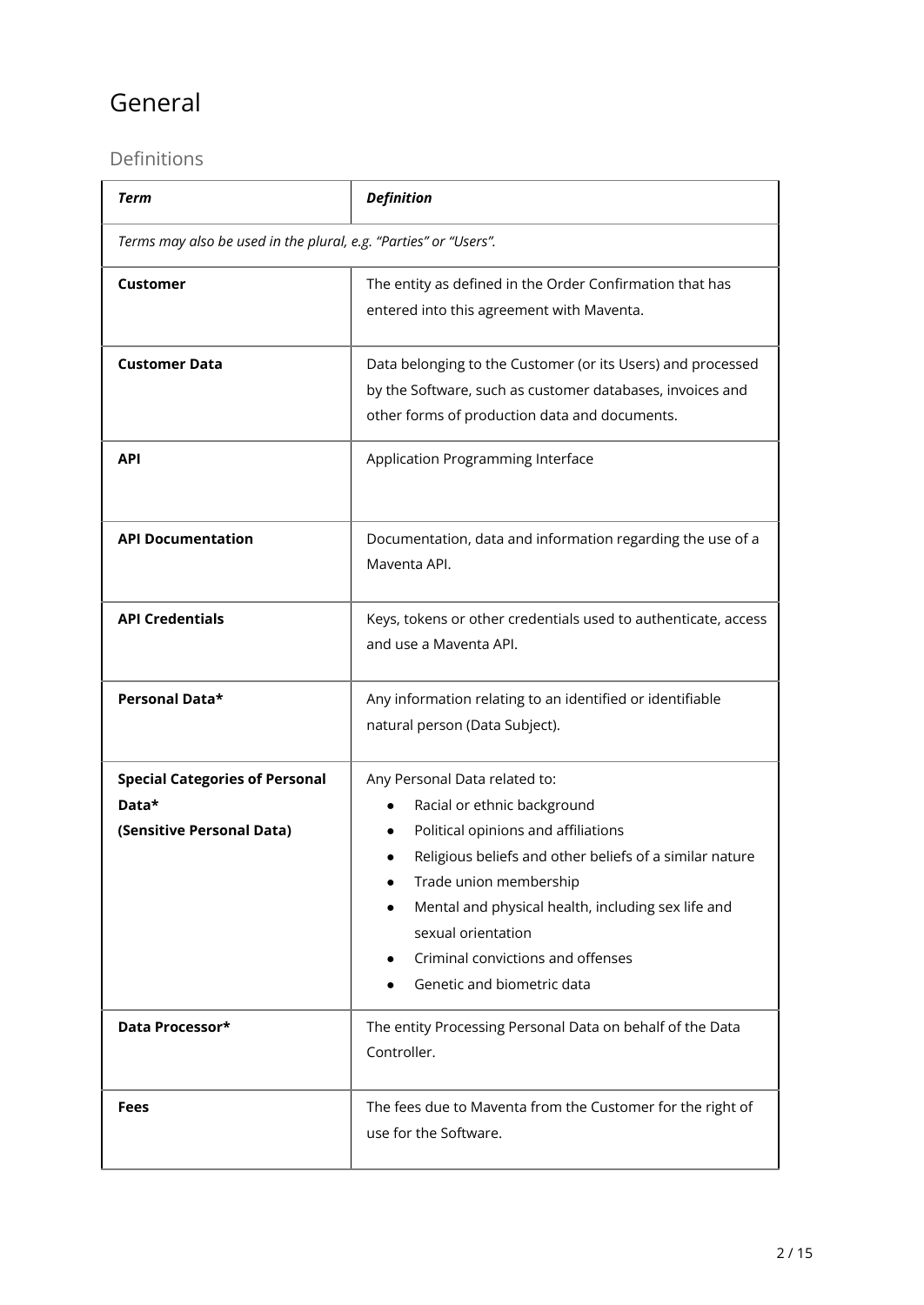# General

### <span id="page-6-0"></span>Definitions

| <b>Term</b>                                                                 | <b>Definition</b>                                                                                                                                                                                                                                                                                                                       |  |  |
|-----------------------------------------------------------------------------|-----------------------------------------------------------------------------------------------------------------------------------------------------------------------------------------------------------------------------------------------------------------------------------------------------------------------------------------|--|--|
| Terms may also be used in the plural, e.g. "Parties" or "Users".            |                                                                                                                                                                                                                                                                                                                                         |  |  |
| <b>Customer</b>                                                             | The entity as defined in the Order Confirmation that has<br>entered into this agreement with Maventa.                                                                                                                                                                                                                                   |  |  |
| <b>Customer Data</b>                                                        | Data belonging to the Customer (or its Users) and processed<br>by the Software, such as customer databases, invoices and<br>other forms of production data and documents.                                                                                                                                                               |  |  |
| <b>API</b>                                                                  | Application Programming Interface                                                                                                                                                                                                                                                                                                       |  |  |
| <b>API Documentation</b>                                                    | Documentation, data and information regarding the use of a<br>Maventa API.                                                                                                                                                                                                                                                              |  |  |
| <b>API Credentials</b>                                                      | Keys, tokens or other credentials used to authenticate, access<br>and use a Maventa API.                                                                                                                                                                                                                                                |  |  |
| Personal Data*                                                              | Any information relating to an identified or identifiable<br>natural person (Data Subject).                                                                                                                                                                                                                                             |  |  |
| <b>Special Categories of Personal</b><br>Data*<br>(Sensitive Personal Data) | Any Personal Data related to:<br>Racial or ethnic background<br>Political opinions and affiliations<br>Religious beliefs and other beliefs of a similar nature<br>Trade union membership<br>Mental and physical health, including sex life and<br>sexual orientation<br>Criminal convictions and offenses<br>Genetic and biometric data |  |  |
| Data Processor*                                                             | The entity Processing Personal Data on behalf of the Data<br>Controller.                                                                                                                                                                                                                                                                |  |  |
| Fees                                                                        | The fees due to Maventa from the Customer for the right of<br>use for the Software.                                                                                                                                                                                                                                                     |  |  |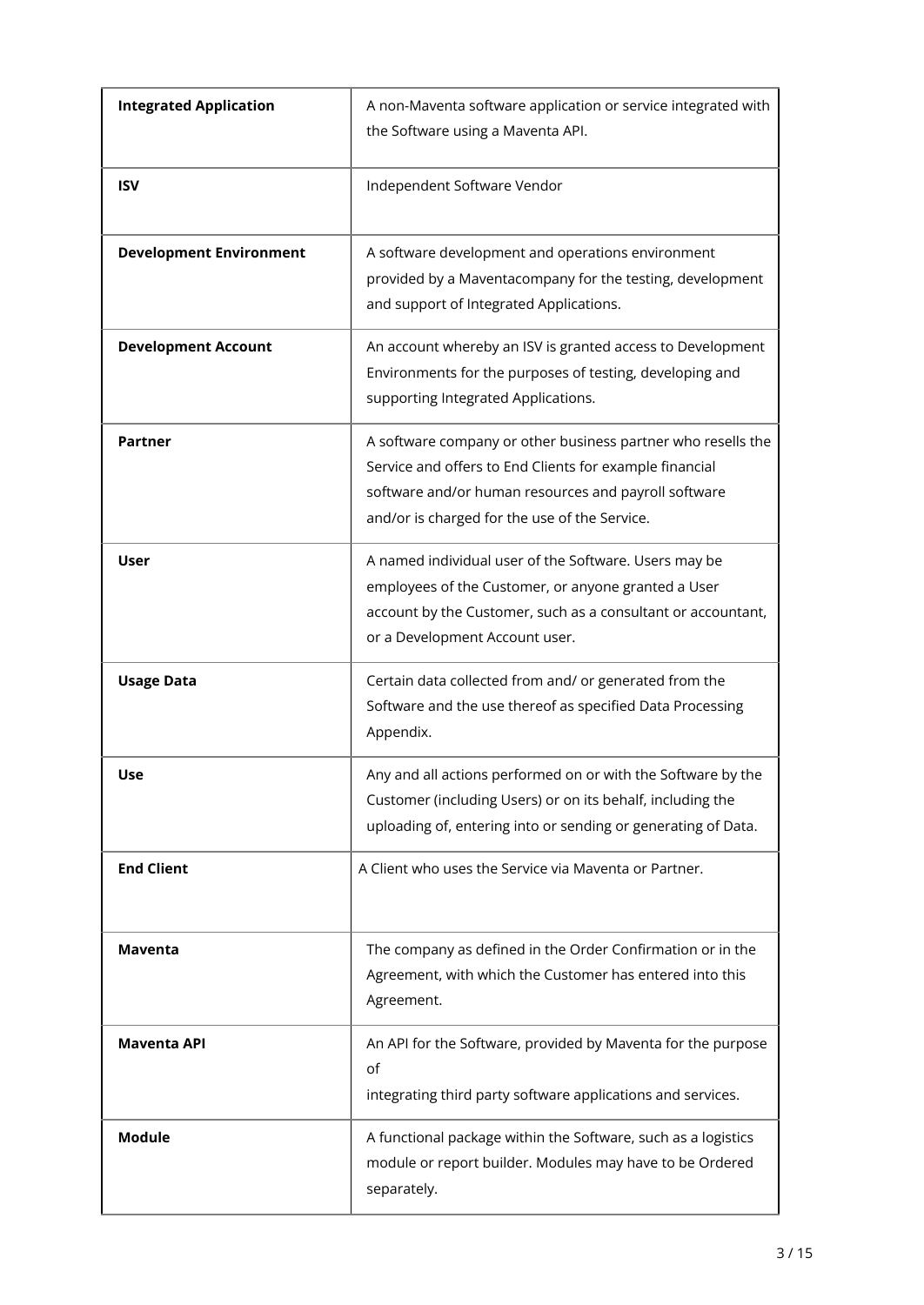| <b>Integrated Application</b>  | A non-Maventa software application or service integrated with<br>the Software using a Maventa API.                                                                                                                               |
|--------------------------------|----------------------------------------------------------------------------------------------------------------------------------------------------------------------------------------------------------------------------------|
| <b>ISV</b>                     | Independent Software Vendor                                                                                                                                                                                                      |
| <b>Development Environment</b> | A software development and operations environment<br>provided by a Maventacompany for the testing, development<br>and support of Integrated Applications.                                                                        |
| <b>Development Account</b>     | An account whereby an ISV is granted access to Development<br>Environments for the purposes of testing, developing and<br>supporting Integrated Applications.                                                                    |
| <b>Partner</b>                 | A software company or other business partner who resells the<br>Service and offers to End Clients for example financial<br>software and/or human resources and payroll software<br>and/or is charged for the use of the Service. |
| <b>User</b>                    | A named individual user of the Software. Users may be<br>employees of the Customer, or anyone granted a User<br>account by the Customer, such as a consultant or accountant,<br>or a Development Account user.                   |
| <b>Usage Data</b>              | Certain data collected from and/ or generated from the<br>Software and the use thereof as specified Data Processing<br>Appendix.                                                                                                 |
| Use                            | Any and all actions performed on or with the Software by the<br>Customer (including Users) or on its behalf, including the<br>uploading of, entering into or sending or generating of Data.                                      |
| <b>End Client</b>              | A Client who uses the Service via Maventa or Partner.                                                                                                                                                                            |
| <b>Maventa</b>                 | The company as defined in the Order Confirmation or in the<br>Agreement, with which the Customer has entered into this<br>Agreement.                                                                                             |
| <b>Maventa API</b>             | An API for the Software, provided by Maventa for the purpose<br>of<br>integrating third party software applications and services.                                                                                                |
| <b>Module</b>                  | A functional package within the Software, such as a logistics<br>module or report builder. Modules may have to be Ordered<br>separately.                                                                                         |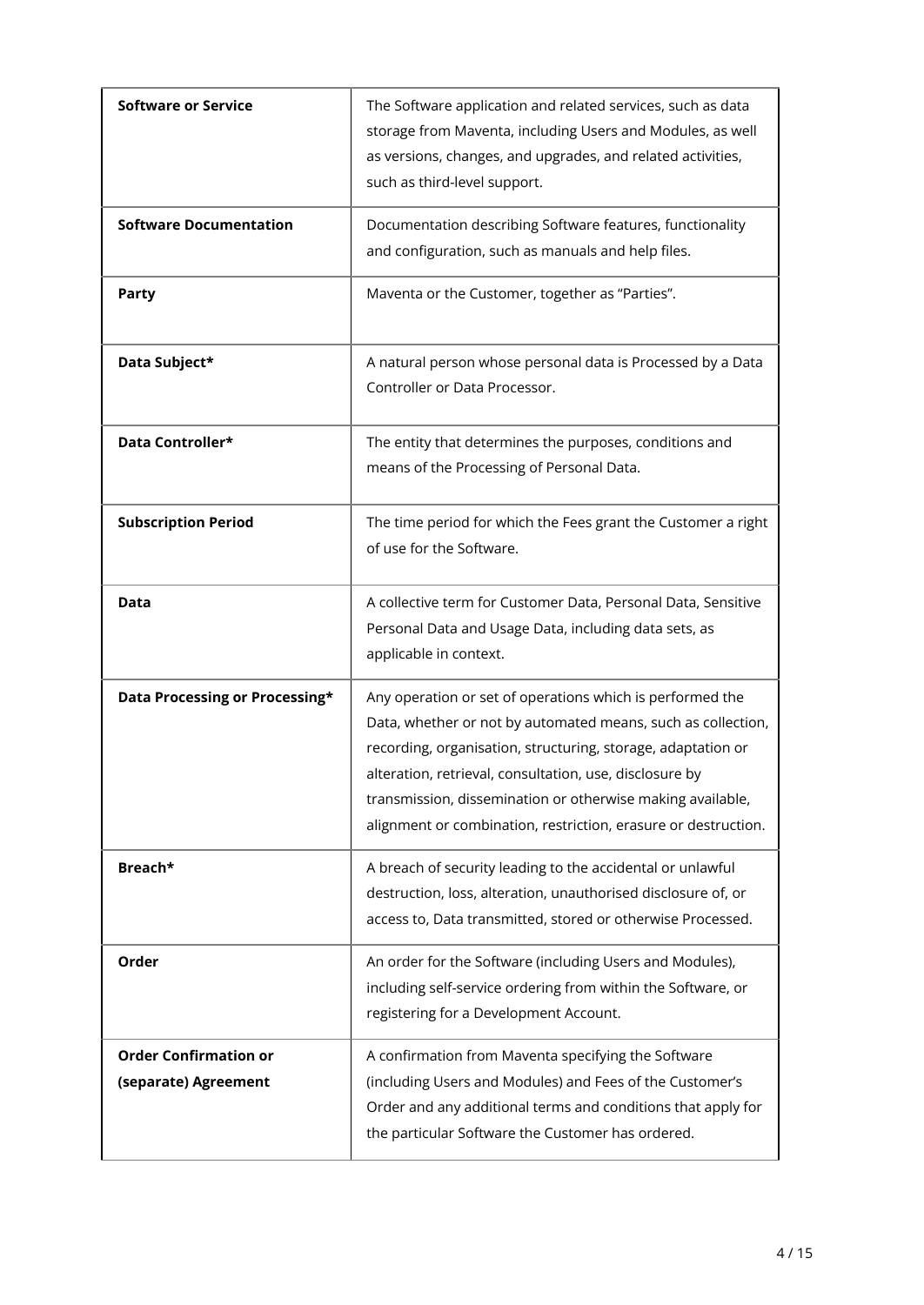| <b>Software or Service</b>                           | The Software application and related services, such as data<br>storage from Maventa, including Users and Modules, as well<br>as versions, changes, and upgrades, and related activities,<br>such as third-level support.                                                                                                                                                             |
|------------------------------------------------------|--------------------------------------------------------------------------------------------------------------------------------------------------------------------------------------------------------------------------------------------------------------------------------------------------------------------------------------------------------------------------------------|
| <b>Software Documentation</b>                        | Documentation describing Software features, functionality<br>and configuration, such as manuals and help files.                                                                                                                                                                                                                                                                      |
| <b>Party</b>                                         | Maventa or the Customer, together as "Parties".                                                                                                                                                                                                                                                                                                                                      |
| Data Subject*                                        | A natural person whose personal data is Processed by a Data<br>Controller or Data Processor.                                                                                                                                                                                                                                                                                         |
| Data Controller*                                     | The entity that determines the purposes, conditions and<br>means of the Processing of Personal Data.                                                                                                                                                                                                                                                                                 |
| <b>Subscription Period</b>                           | The time period for which the Fees grant the Customer a right<br>of use for the Software.                                                                                                                                                                                                                                                                                            |
| Data                                                 | A collective term for Customer Data, Personal Data, Sensitive<br>Personal Data and Usage Data, including data sets, as<br>applicable in context.                                                                                                                                                                                                                                     |
| Data Processing or Processing*                       | Any operation or set of operations which is performed the<br>Data, whether or not by automated means, such as collection,<br>recording, organisation, structuring, storage, adaptation or<br>alteration, retrieval, consultation, use, disclosure by<br>transmission, dissemination or otherwise making available,<br>alignment or combination, restriction, erasure or destruction. |
| Breach*                                              | A breach of security leading to the accidental or unlawful<br>destruction, loss, alteration, unauthorised disclosure of, or<br>access to, Data transmitted, stored or otherwise Processed.                                                                                                                                                                                           |
| Order                                                | An order for the Software (including Users and Modules),<br>including self-service ordering from within the Software, or<br>registering for a Development Account.                                                                                                                                                                                                                   |
| <b>Order Confirmation or</b><br>(separate) Agreement | A confirmation from Maventa specifying the Software<br>(including Users and Modules) and Fees of the Customer's<br>Order and any additional terms and conditions that apply for<br>the particular Software the Customer has ordered.                                                                                                                                                 |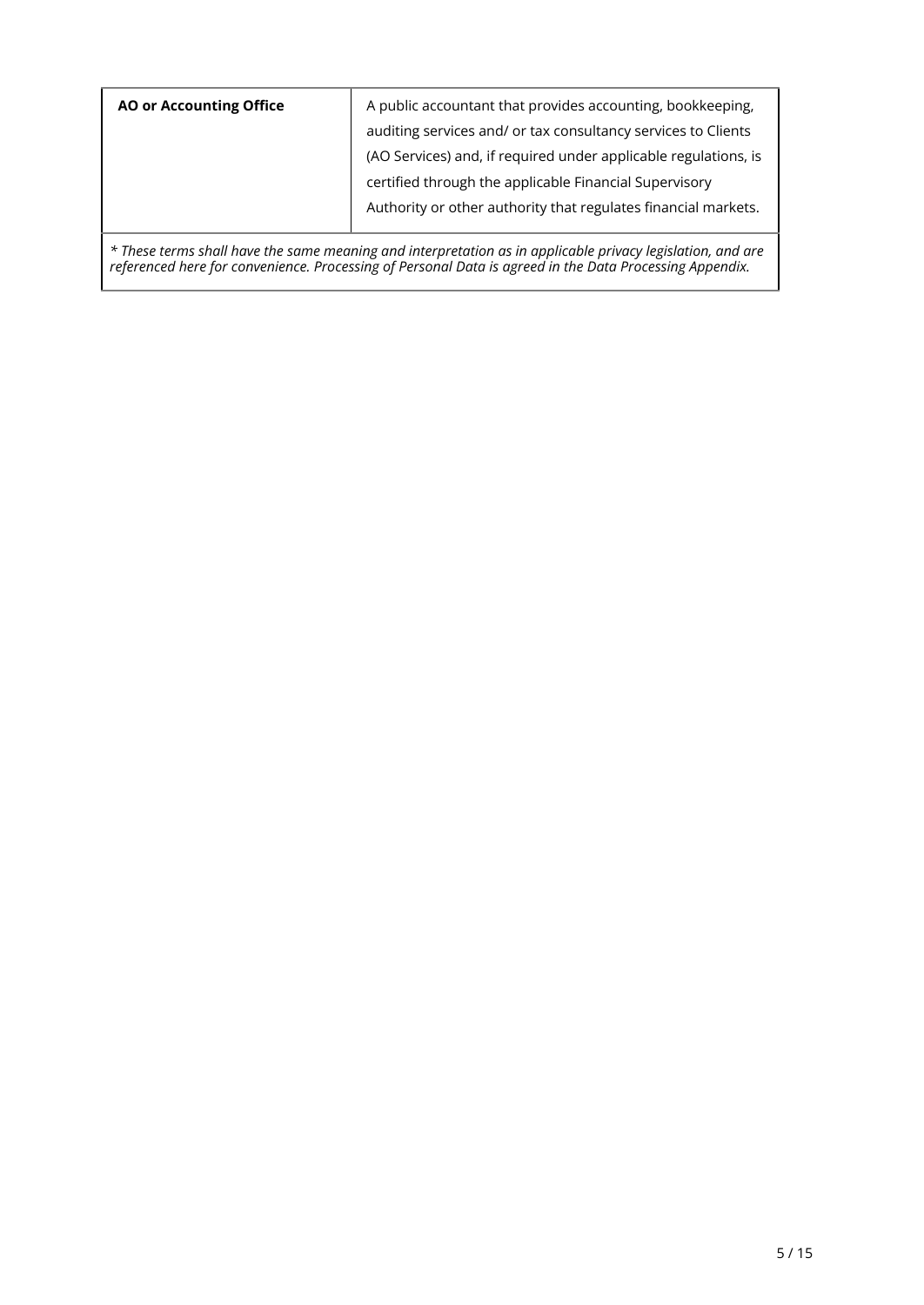| <b>AO or Accounting Office</b> | A public accountant that provides accounting, bookkeeping,      |
|--------------------------------|-----------------------------------------------------------------|
|                                | auditing services and/ or tax consultancy services to Clients   |
|                                | (AO Services) and, if required under applicable regulations, is |
|                                | certified through the applicable Financial Supervisory          |
|                                | Authority or other authority that regulates financial markets.  |
|                                |                                                                 |

*\* These terms shall have the same meaning and interpretation as in applicable privacy legislation, and are referenced here for convenience. Processing of Personal Data is agreed in the Data Processing Appendix.*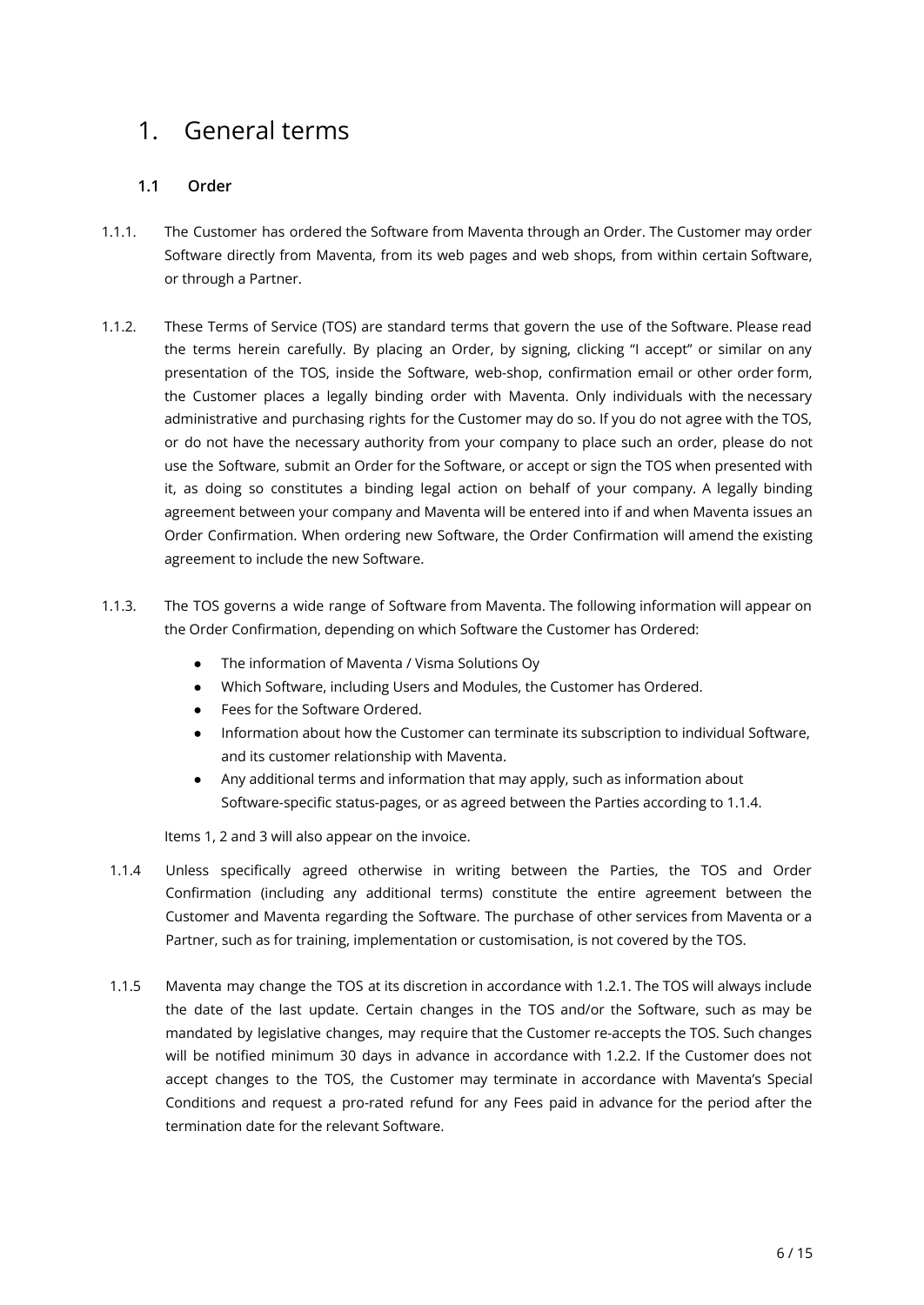# <span id="page-10-0"></span>1. General terms

#### <span id="page-10-1"></span>**1.1 Order**

- 1.1.1. The Customer has ordered the Software from Maventa through an Order. The Customer may order Software directly from Maventa, from its web pages and web shops, from within certain Software, or through a Partner.
- 1.1.2. These Terms of Service (TOS) are standard terms that govern the use of the Software. Please read the terms herein carefully. By placing an Order, by signing, clicking "I accept" or similar on any presentation of the TOS, inside the Software, web-shop, confirmation email or other order form, the Customer places a legally binding order with Maventa. Only individuals with the necessary administrative and purchasing rights for the Customer may do so. If you do not agree with the TOS, or do not have the necessary authority from your company to place such an order, please do not use the Software, submit an Order for the Software, or accept or sign the TOS when presented with it, as doing so constitutes a binding legal action on behalf of your company. A legally binding agreement between your company and Maventa will be entered into if and when Maventa issues an Order Confirmation. When ordering new Software, the Order Confirmation will amend the existing agreement to include the new Software.
- 1.1.3. The TOS governs a wide range of Software from Maventa. The following information will appear on the Order Confirmation, depending on which Software the Customer has Ordered:
	- The information of Maventa / Visma Solutions Oy
	- Which Software, including Users and Modules, the Customer has Ordered.
	- Fees for the Software Ordered.
	- Information about how the Customer can terminate its subscription to individual Software, and its customer relationship with Maventa.
	- Any additional terms and information that may apply, such as information about Software-specific status-pages, or as agreed between the Parties according to 1.1.4.

Items 1, 2 and 3 will also appear on the invoice.

- 1.1.4 Unless specifically agreed otherwise in writing between the Parties, the TOS and Order Confirmation (including any additional terms) constitute the entire agreement between the Customer and Maventa regarding the Software. The purchase of other services from Maventa or a Partner, such as for training, implementation or customisation, is not covered by the TOS.
- 1.1.5 Maventa may change the TOS at its discretion in accordance with 1.2.1. The TOS will always include the date of the last update. Certain changes in the TOS and/or the Software, such as may be mandated by legislative changes, may require that the Customer re-accepts the TOS. Such changes will be notified minimum 30 days in advance in accordance with 1.2.2. If the Customer does not accept changes to the TOS, the Customer may terminate in accordance with Maventa's Special Conditions and request a pro-rated refund for any Fees paid in advance for the period after the termination date for the relevant Software.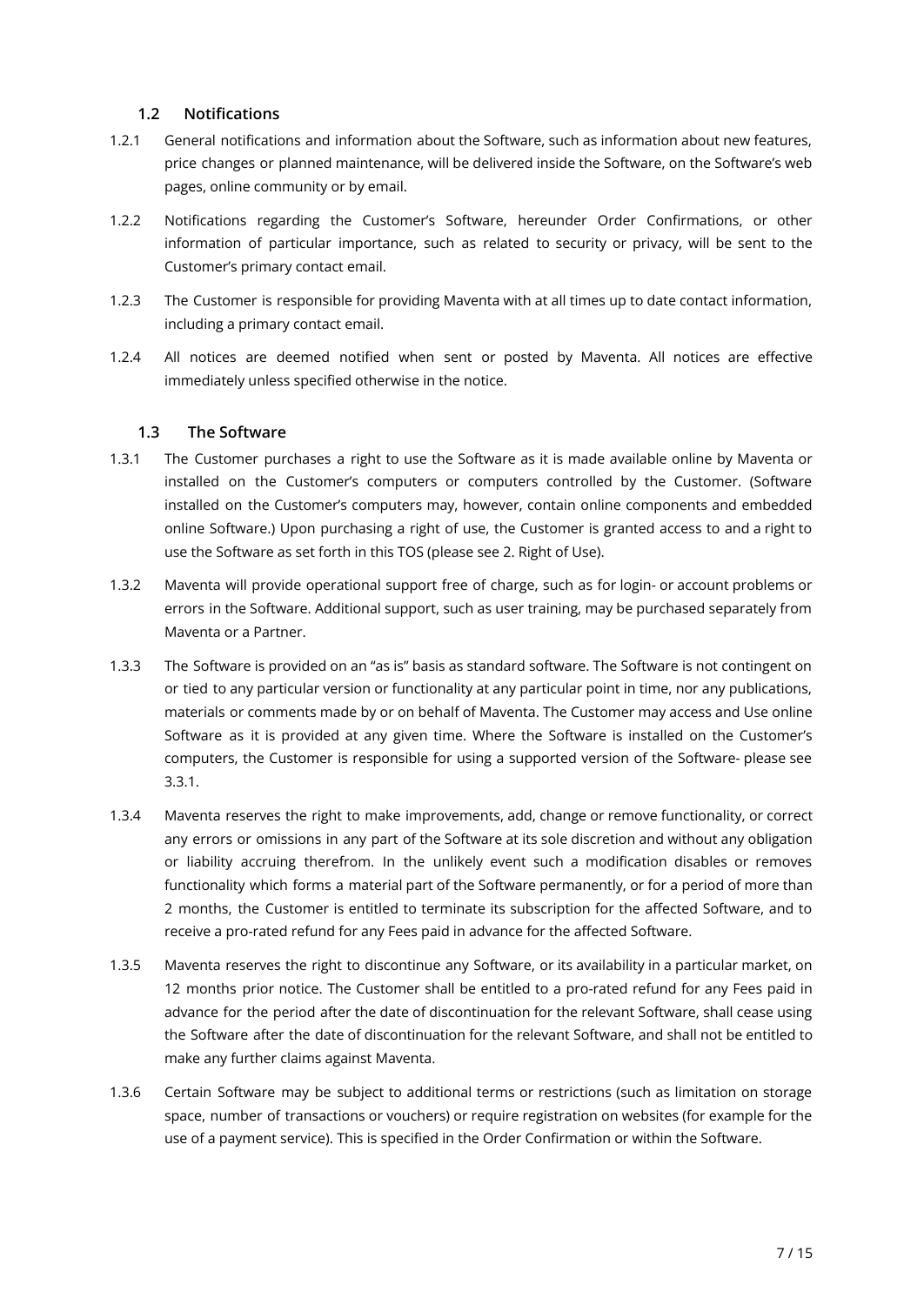#### <span id="page-11-0"></span>**1.2 Notifications**

- 1.2.1 General notifications and information about the Software, such as information about new features, price changes or planned maintenance, will be delivered inside the Software, on the Software's web pages, online community or by email.
- 1.2.2 Notifications regarding the Customer's Software, hereunder Order Confirmations, or other information of particular importance, such as related to security or privacy, will be sent to the Customer's primary contact email.
- 1.2.3 The Customer is responsible for providing Maventa with at all times up to date contact information, including a primary contact email.
- 1.2.4 All notices are deemed notified when sent or posted by Maventa. All notices are effective immediately unless specified otherwise in the notice.

#### <span id="page-11-1"></span>**1.3 The Software**

- 1.3.1 The Customer purchases a right to use the Software as it is made available online by Maventa or installed on the Customer's computers or computers controlled by the Customer. (Software installed on the Customer's computers may, however, contain online components and embedded online Software.) Upon purchasing a right of use, the Customer is granted access to and a right to use the Software as set forth in this TOS (please see 2. Right of Use).
- 1.3.2 Maventa will provide operational support free of charge, such as for login- or account problems or errors in the Software. Additional support, such as user training, may be purchased separately from Maventa or a Partner.
- 1.3.3 The Software is provided on an "as is" basis as standard software. The Software is not contingent on or tied to any particular version or functionality at any particular point in time, nor any publications, materials or comments made by or on behalf of Maventa. The Customer may access and Use online Software as it is provided at any given time. Where the Software is installed on the Customer's computers, the Customer is responsible for using a supported version of the Software- please see 3.3.1.
- 1.3.4 Maventa reserves the right to make improvements, add, change or remove functionality, or correct any errors or omissions in any part of the Software at its sole discretion and without any obligation or liability accruing therefrom. In the unlikely event such a modification disables or removes functionality which forms a material part of the Software permanently, or for a period of more than 2 months, the Customer is entitled to terminate its subscription for the affected Software, and to receive a pro-rated refund for any Fees paid in advance for the affected Software.
- 1.3.5 Maventa reserves the right to discontinue any Software, or its availability in a particular market, on 12 months prior notice. The Customer shall be entitled to a pro-rated refund for any Fees paid in advance for the period after the date of discontinuation for the relevant Software, shall cease using the Software after the date of discontinuation for the relevant Software, and shall not be entitled to make any further claims against Maventa.
- 1.3.6 Certain Software may be subject to additional terms or restrictions (such as limitation on storage space, number of transactions or vouchers) or require registration on websites (for example for the use of a payment service). This is specified in the Order Confirmation or within the Software.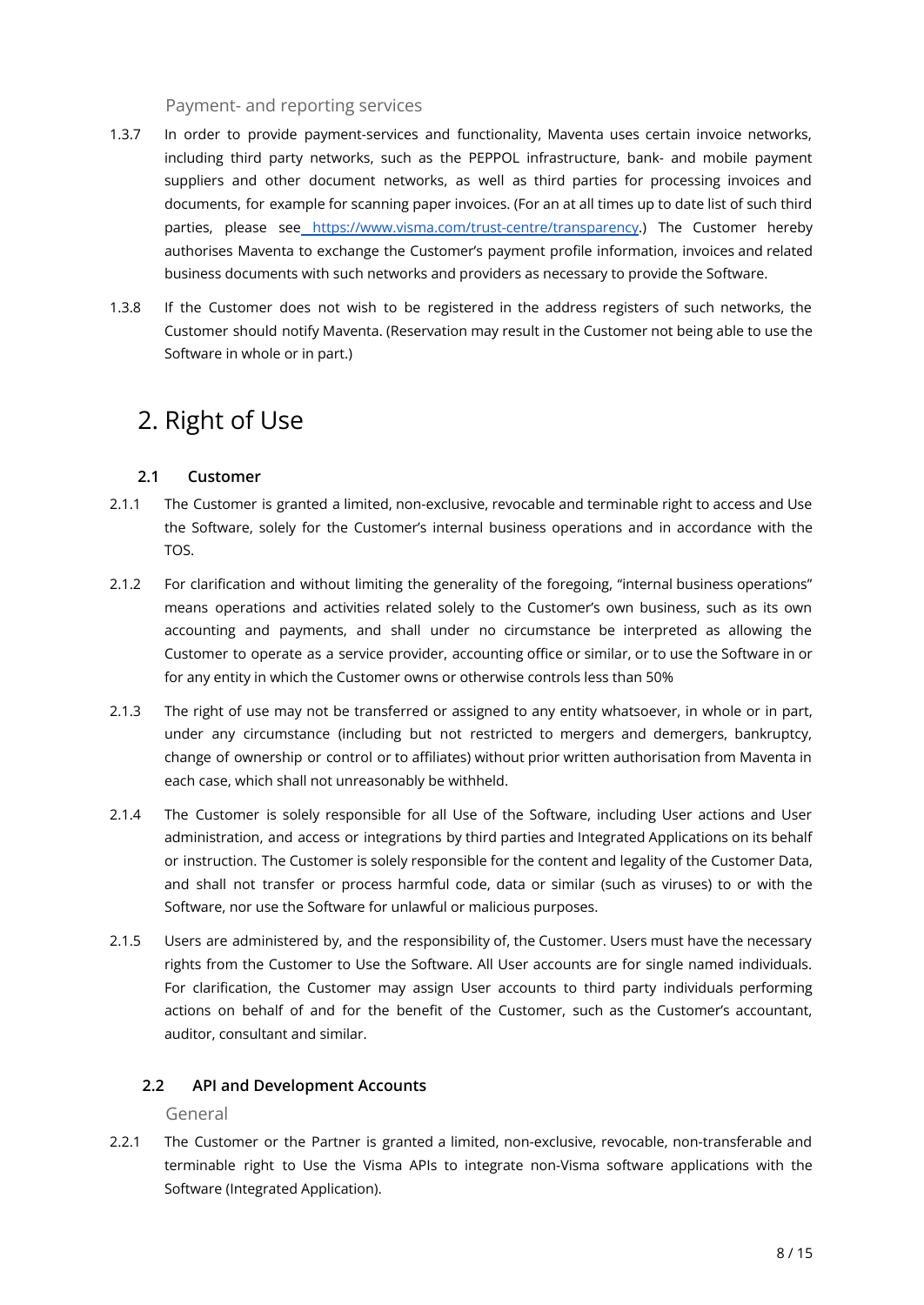Payment- and reporting services

- 1.3.7 In order to provide payment-services and functionality, Maventa uses certain invoice networks, including third party networks, such as the PEPPOL infrastructure, bank- and mobile payment suppliers and other document networks, as well as third parties for processing invoices and documents, for example for scanning paper invoices. (For an at all times up to date list of such third parties, please see <https://www.visma.com/trust-centre/transparency>.) The Customer hereby authorises Maventa to exchange the Customer's payment profile information, invoices and related business documents with such networks and providers as necessary to provide the Software.
- 1.3.8 If the Customer does not wish to be registered in the address registers of such networks, the Customer should notify Maventa. (Reservation may result in the Customer not being able to use the Software in whole or in part.)

# <span id="page-12-0"></span>2. Right of Use

#### <span id="page-12-1"></span>**2.1 Customer**

- 2.1.1 The Customer is granted a limited, non-exclusive, revocable and terminable right to access and Use the Software, solely for the Customer's internal business operations and in accordance with the TOS.
- 2.1.2 For clarification and without limiting the generality of the foregoing, "internal business operations" means operations and activities related solely to the Customer's own business, such as its own accounting and payments, and shall under no circumstance be interpreted as allowing the Customer to operate as a service provider, accounting office or similar, or to use the Software in or for any entity in which the Customer owns or otherwise controls less than 50%
- 2.1.3 The right of use may not be transferred or assigned to any entity whatsoever, in whole or in part, under any circumstance (including but not restricted to mergers and demergers, bankruptcy, change of ownership or control or to affiliates) without prior written authorisation from Maventa in each case, which shall not unreasonably be withheld.
- 2.1.4 The Customer is solely responsible for all Use of the Software, including User actions and User administration, and access or integrations by third parties and Integrated Applications on its behalf or instruction. The Customer is solely responsible for the content and legality of the Customer Data, and shall not transfer or process harmful code, data or similar (such as viruses) to or with the Software, nor use the Software for unlawful or malicious purposes.
- 2.1.5 Users are administered by, and the responsibility of, the Customer. Users must have the necessary rights from the Customer to Use the Software. All User accounts are for single named individuals. For clarification, the Customer may assign User accounts to third party individuals performing actions on behalf of and for the benefit of the Customer, such as the Customer's accountant, auditor, consultant and similar.

#### <span id="page-12-2"></span>**2.2 API and Development Accounts**

General

2.2.1 The Customer or the Partner is granted a limited, non-exclusive, revocable, non-transferable and terminable right to Use the Visma APIs to integrate non-Visma software applications with the Software (Integrated Application).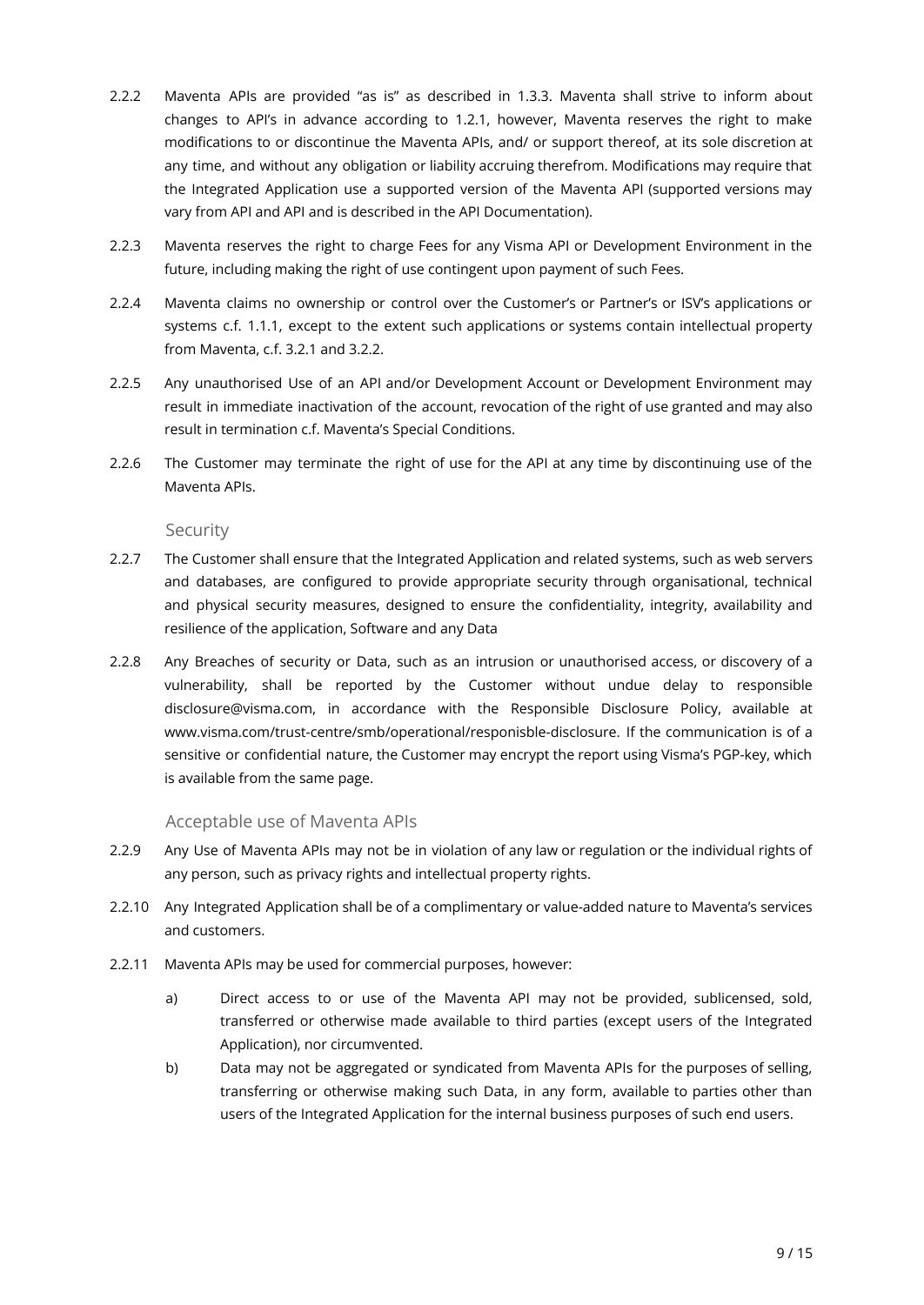- 2.2.2 Maventa APIs are provided "as is" as described in 1.3.3. Maventa shall strive to inform about changes to API's in advance according to 1.2.1, however, Maventa reserves the right to make modifications to or discontinue the Maventa APIs, and/ or support thereof, at its sole discretion at any time, and without any obligation or liability accruing therefrom. Modifications may require that the Integrated Application use a supported version of the Maventa API (supported versions may vary from API and API and is described in the API Documentation).
- 2.2.3 Maventa reserves the right to charge Fees for any Visma API or Development Environment in the future, including making the right of use contingent upon payment of such Fees.
- 2.2.4 Maventa claims no ownership or control over the Customer's or Partner's or ISV's applications or systems c.f. 1.1.1, except to the extent such applications or systems contain intellectual property from Maventa, c.f. 3.2.1 and 3.2.2.
- 2.2.5 Any unauthorised Use of an API and/or Development Account or Development Environment may result in immediate inactivation of the account, revocation of the right of use granted and may also result in termination c.f. Maventa's Special Conditions.
- 2.2.6 The Customer may terminate the right of use for the API at any time by discontinuing use of the Maventa APIs.

Security

- 2.2.7 The Customer shall ensure that the Integrated Application and related systems, such as web servers and databases, are configured to provide appropriate security through organisational, technical and physical security measures, designed to ensure the confidentiality, integrity, availability and resilience of the application, Software and any Data
- 2.2.8 Any Breaches of security or Data, such as an intrusion or unauthorised access, or discovery of a vulnerability, shall be reported by the Customer without undue delay to responsible disclosure@visma.com, in accordance with the Responsible Disclosure Policy, available at www.visma.com/trust-centre/smb/operational/responisble-disclosure. If the communication is of a sensitive or confidential nature, the Customer may encrypt the report using Visma's PGP-key, which is available from the same page.

#### Acceptable use of Maventa APIs

- 2.2.9 Any Use of Maventa APIs may not be in violation of any law or regulation or the individual rights of any person, such as privacy rights and intellectual property rights.
- 2.2.10 Any Integrated Application shall be of a complimentary or value-added nature to Maventa's services and customers.
- 2.2.11 Maventa APIs may be used for commercial purposes, however:
	- a) Direct access to or use of the Maventa API may not be provided, sublicensed, sold, transferred or otherwise made available to third parties (except users of the Integrated Application), nor circumvented.
	- b) Data may not be aggregated or syndicated from Maventa APIs for the purposes of selling, transferring or otherwise making such Data, in any form, available to parties other than users of the Integrated Application for the internal business purposes of such end users.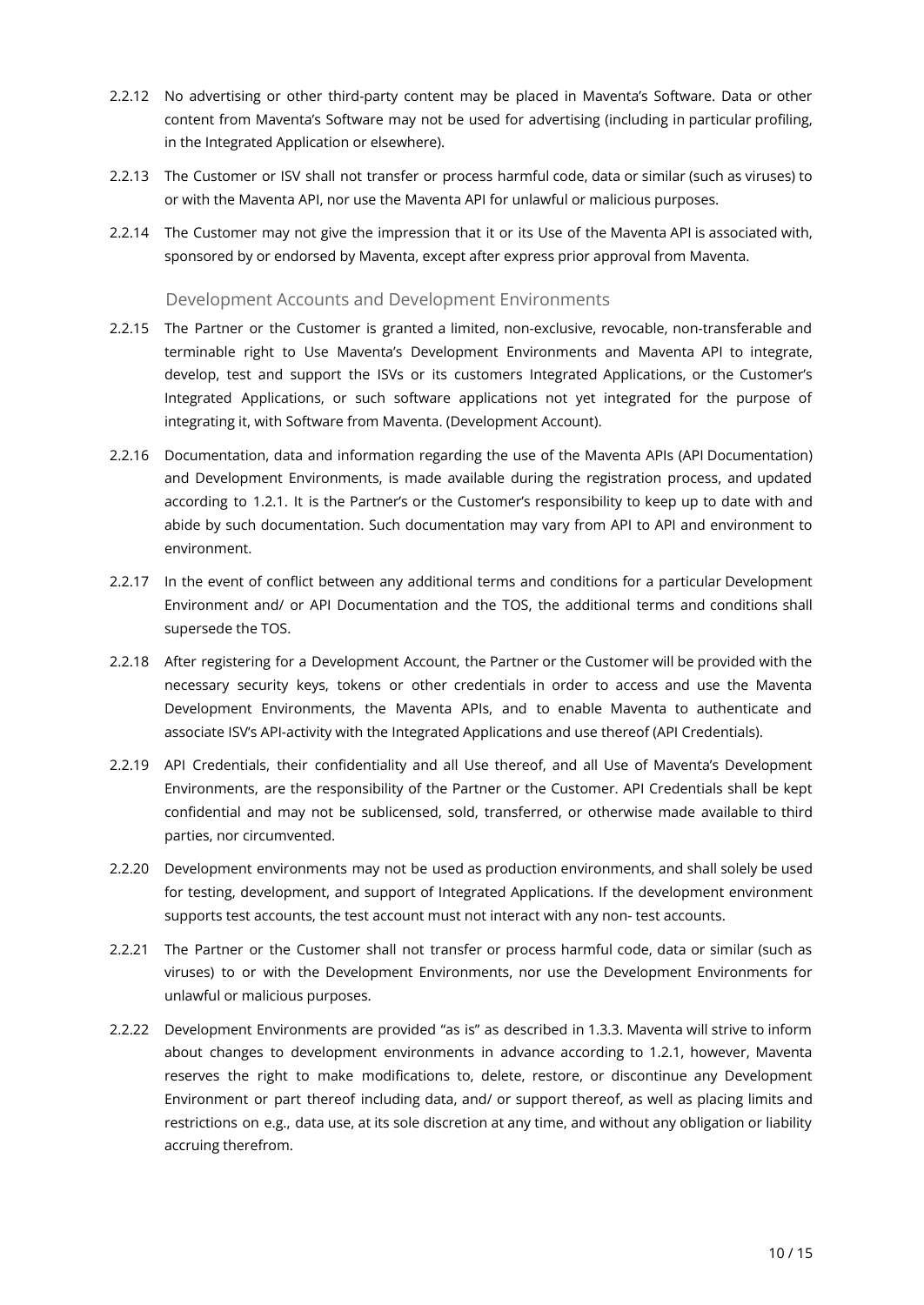- 2.2.12 No advertising or other third-party content may be placed in Maventa's Software. Data or other content from Maventa's Software may not be used for advertising (including in particular profiling, in the Integrated Application or elsewhere).
- 2.2.13 The Customer or ISV shall not transfer or process harmful code, data or similar (such as viruses) to or with the Maventa API, nor use the Maventa API for unlawful or malicious purposes.
- 2.2.14 The Customer may not give the impression that it or its Use of the Maventa API is associated with, sponsored by or endorsed by Maventa, except after express prior approval from Maventa.

#### Development Accounts and Development Environments

- 2.2.15 The Partner or the Customer is granted a limited, non-exclusive, revocable, non-transferable and terminable right to Use Maventa's Development Environments and Maventa API to integrate, develop, test and support the ISVs or its customers Integrated Applications, or the Customer's Integrated Applications, or such software applications not yet integrated for the purpose of integrating it, with Software from Maventa. (Development Account).
- 2.2.16 Documentation, data and information regarding the use of the Maventa APIs (API Documentation) and Development Environments, is made available during the registration process, and updated according to 1.2.1. It is the Partner's or the Customer's responsibility to keep up to date with and abide by such documentation. Such documentation may vary from API to API and environment to environment.
- 2.2.17 In the event of conflict between any additional terms and conditions for a particular Development Environment and/ or API Documentation and the TOS, the additional terms and conditions shall supersede the TOS.
- 2.2.18 After registering for a Development Account, the Partner or the Customer will be provided with the necessary security keys, tokens or other credentials in order to access and use the Maventa Development Environments, the Maventa APIs, and to enable Maventa to authenticate and associate ISV's API-activity with the Integrated Applications and use thereof (API Credentials).
- 2.2.19 API Credentials, their confidentiality and all Use thereof, and all Use of Maventa's Development Environments, are the responsibility of the Partner or the Customer. API Credentials shall be kept confidential and may not be sublicensed, sold, transferred, or otherwise made available to third parties, nor circumvented.
- 2.2.20 Development environments may not be used as production environments, and shall solely be used for testing, development, and support of Integrated Applications. If the development environment supports test accounts, the test account must not interact with any non- test accounts.
- 2.2.21 The Partner or the Customer shall not transfer or process harmful code, data or similar (such as viruses) to or with the Development Environments, nor use the Development Environments for unlawful or malicious purposes.
- 2.2.22 Development Environments are provided "as is" as described in 1.3.3. Maventa will strive to inform about changes to development environments in advance according to 1.2.1, however, Maventa reserves the right to make modifications to, delete, restore, or discontinue any Development Environment or part thereof including data, and/ or support thereof, as well as placing limits and restrictions on e.g., data use, at its sole discretion at any time, and without any obligation or liability accruing therefrom.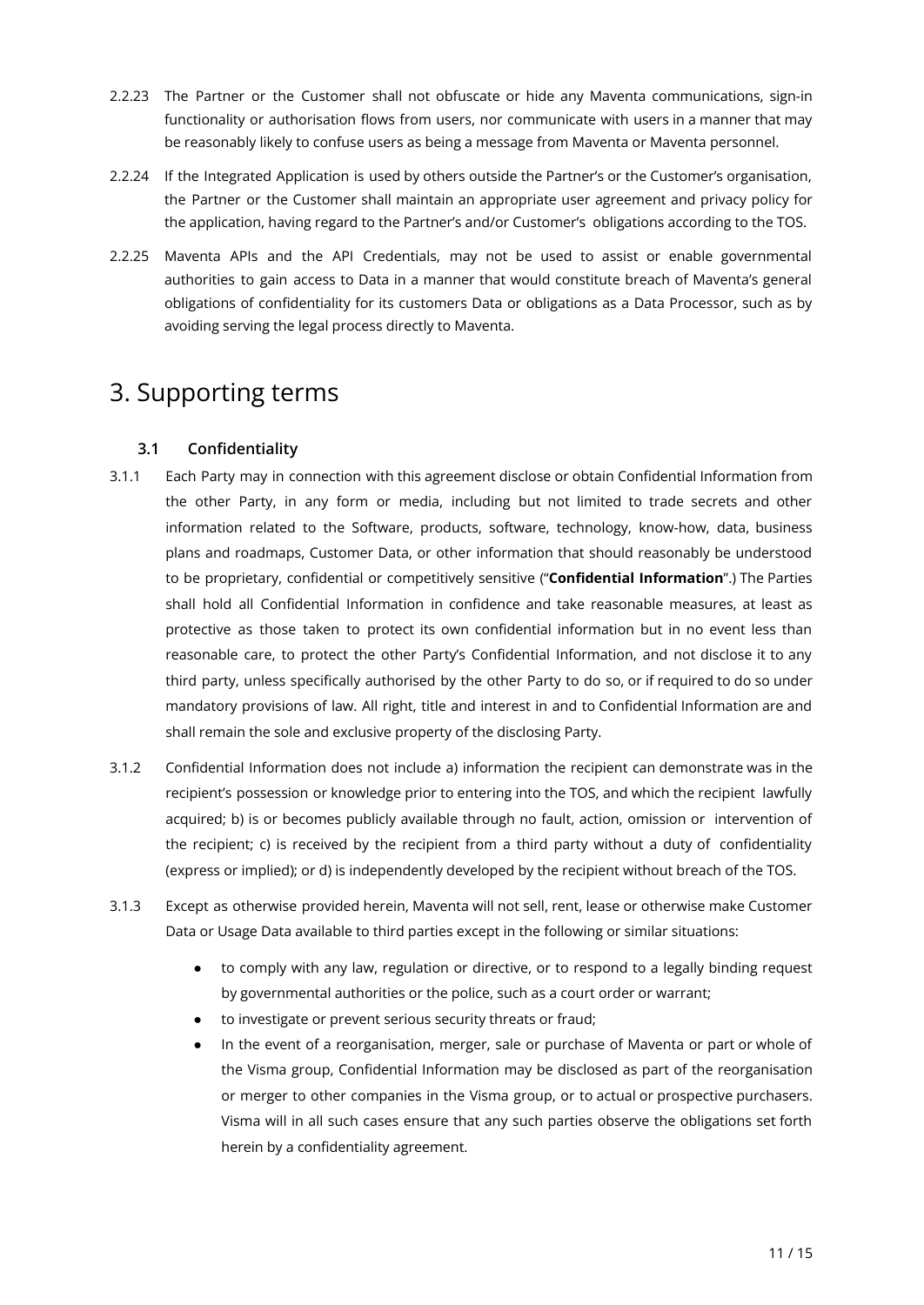- 2.2.23 The Partner or the Customer shall not obfuscate or hide any Maventa communications, sign-in functionality or authorisation flows from users, nor communicate with users in a manner that may be reasonably likely to confuse users as being a message from Maventa or Maventa personnel.
- 2.2.24 If the Integrated Application is used by others outside the Partner's or the Customer's organisation, the Partner or the Customer shall maintain an appropriate user agreement and privacy policy for the application, having regard to the Partner's and/or Customer's obligations according to the TOS.
- 2.2.25 Maventa APIs and the API Credentials, may not be used to assist or enable governmental authorities to gain access to Data in a manner that would constitute breach of Maventa's general obligations of confidentiality for its customers Data or obligations as a Data Processor, such as by avoiding serving the legal process directly to Maventa.

# <span id="page-15-0"></span>3. Supporting terms

#### <span id="page-15-1"></span>**3.1 Confidentiality**

- 3.1.1 Each Party may in connection with this agreement disclose or obtain Confidential Information from the other Party, in any form or media, including but not limited to trade secrets and other information related to the Software, products, software, technology, know-how, data, business plans and roadmaps, Customer Data, or other information that should reasonably be understood to be proprietary, confidential or competitively sensitive ("**Confidential Information**".) The Parties shall hold all Confidential Information in confidence and take reasonable measures, at least as protective as those taken to protect its own confidential information but in no event less than reasonable care, to protect the other Party's Confidential Information, and not disclose it to any third party, unless specifically authorised by the other Party to do so, or if required to do so under mandatory provisions of law. All right, title and interest in and to Confidential Information are and shall remain the sole and exclusive property of the disclosing Party.
- 3.1.2 Confidential Information does not include a) information the recipient can demonstrate was in the recipient's possession or knowledge prior to entering into the TOS, and which the recipient lawfully acquired; b) is or becomes publicly available through no fault, action, omission or intervention of the recipient; c) is received by the recipient from a third party without a duty of confidentiality (express or implied); or d) is independently developed by the recipient without breach of the TOS.
- 3.1.3 Except as otherwise provided herein, Maventa will not sell, rent, lease or otherwise make Customer Data or Usage Data available to third parties except in the following or similar situations:
	- to comply with any law, regulation or directive, or to respond to a legally binding request by governmental authorities or the police, such as a court order or warrant;
	- to investigate or prevent serious security threats or fraud;
	- In the event of a reorganisation, merger, sale or purchase of Maventa or part or whole of the Visma group, Confidential Information may be disclosed as part of the reorganisation or merger to other companies in the Visma group, or to actual or prospective purchasers. Visma will in all such cases ensure that any such parties observe the obligations set forth herein by a confidentiality agreement.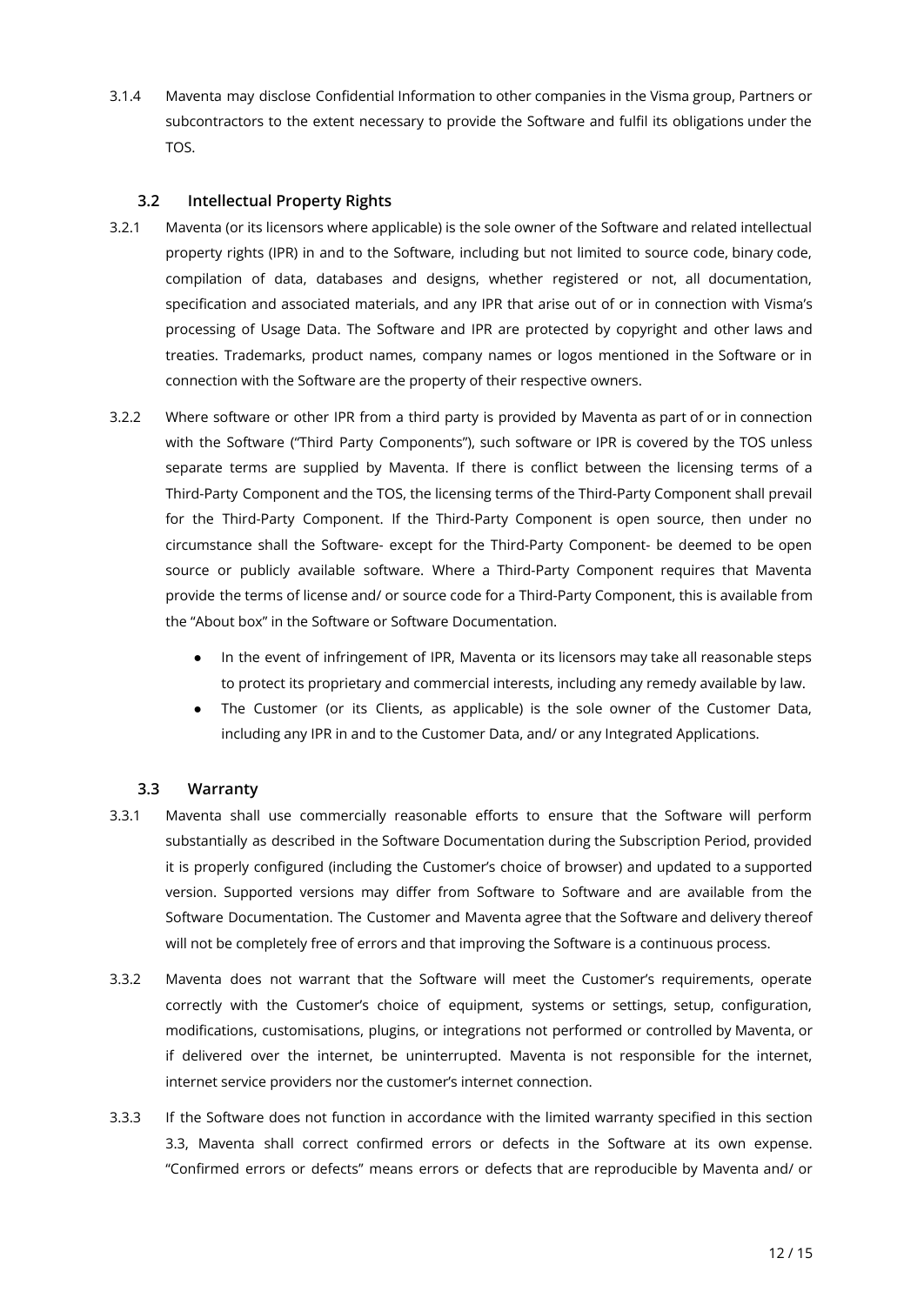3.1.4 Maventa may disclose Confidential Information to other companies in the Visma group, Partners or subcontractors to the extent necessary to provide the Software and fulfil its obligations under the TOS.

#### <span id="page-16-0"></span>**3.2 Intellectual Property Rights**

- 3.2.1 Maventa (or its licensors where applicable) is the sole owner of the Software and related intellectual property rights (IPR) in and to the Software, including but not limited to source code, binary code, compilation of data, databases and designs, whether registered or not, all documentation, specification and associated materials, and any IPR that arise out of or in connection with Visma's processing of Usage Data. The Software and IPR are protected by copyright and other laws and treaties. Trademarks, product names, company names or logos mentioned in the Software or in connection with the Software are the property of their respective owners.
- 3.2.2 Where software or other IPR from a third party is provided by Maventa as part of or in connection with the Software ("Third Party Components"), such software or IPR is covered by the TOS unless separate terms are supplied by Maventa. If there is conflict between the licensing terms of a Third-Party Component and the TOS, the licensing terms of the Third-Party Component shall prevail for the Third-Party Component. If the Third-Party Component is open source, then under no circumstance shall the Software- except for the Third-Party Component- be deemed to be open source or publicly available software. Where a Third-Party Component requires that Maventa provide the terms of license and/ or source code for a Third-Party Component, this is available from the "About box" in the Software or Software Documentation.
	- In the event of infringement of IPR, Maventa or its licensors may take all reasonable steps to protect its proprietary and commercial interests, including any remedy available by law.
	- The Customer (or its Clients, as applicable) is the sole owner of the Customer Data, including any IPR in and to the Customer Data, and/ or any Integrated Applications.

#### <span id="page-16-1"></span>**3.3 Warranty**

- 3.3.1 Maventa shall use commercially reasonable efforts to ensure that the Software will perform substantially as described in the Software Documentation during the Subscription Period, provided it is properly configured (including the Customer's choice of browser) and updated to a supported version. Supported versions may differ from Software to Software and are available from the Software Documentation. The Customer and Maventa agree that the Software and delivery thereof will not be completely free of errors and that improving the Software is a continuous process.
- 3.3.2 Maventa does not warrant that the Software will meet the Customer's requirements, operate correctly with the Customer's choice of equipment, systems or settings, setup, configuration, modifications, customisations, plugins, or integrations not performed or controlled by Maventa, or if delivered over the internet, be uninterrupted. Maventa is not responsible for the internet, internet service providers nor the customer's internet connection.
- 3.3.3 If the Software does not function in accordance with the limited warranty specified in this section 3.3, Maventa shall correct confirmed errors or defects in the Software at its own expense. "Confirmed errors or defects" means errors or defects that are reproducible by Maventa and/ or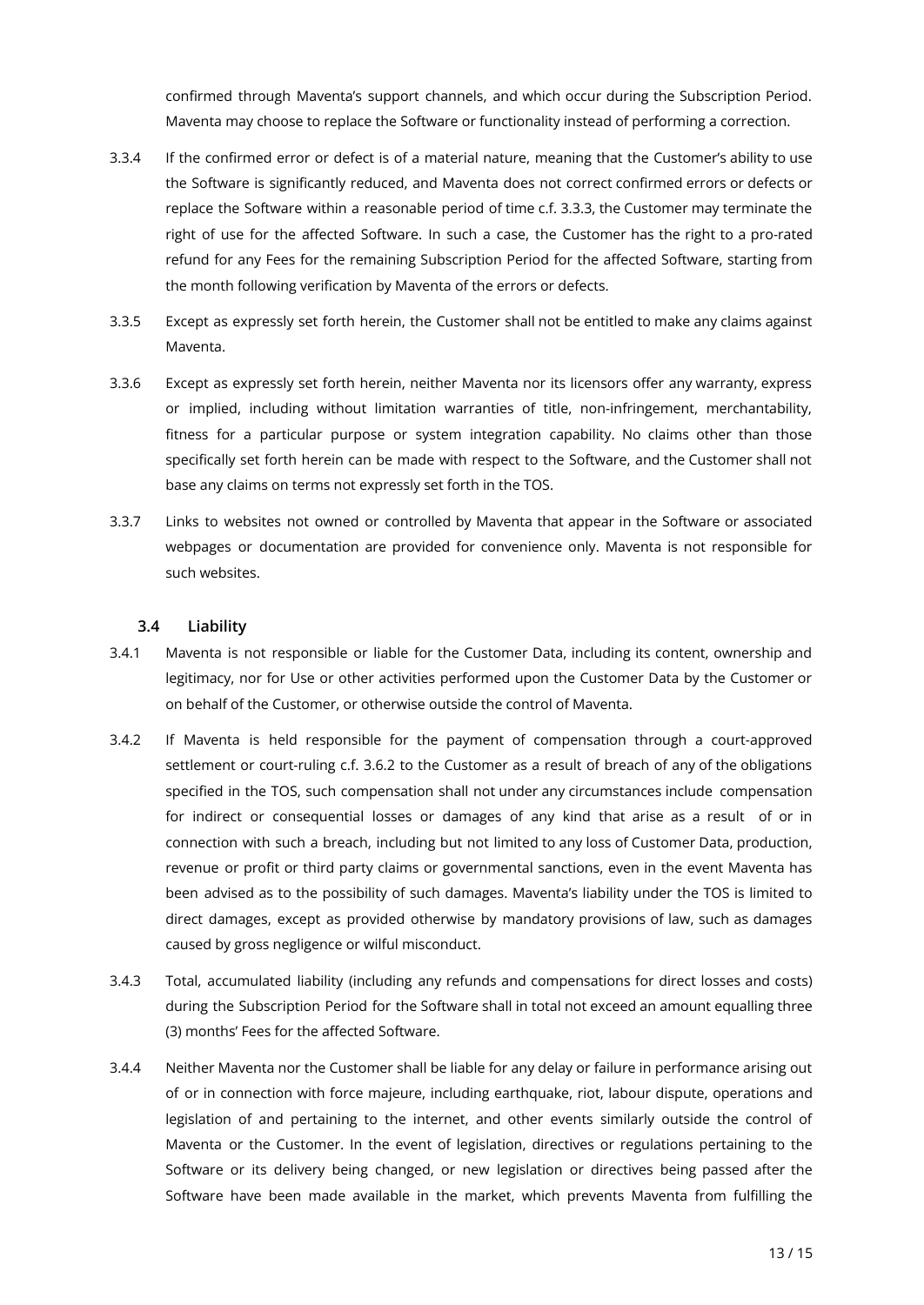confirmed through Maventa's support channels, and which occur during the Subscription Period. Maventa may choose to replace the Software or functionality instead of performing a correction.

- 3.3.4 If the confirmed error or defect is of a material nature, meaning that the Customer's ability to use the Software is significantly reduced, and Maventa does not correct confirmed errors or defects or replace the Software within a reasonable period of time c.f. 3.3.3, the Customer may terminate the right of use for the affected Software. In such a case, the Customer has the right to a pro-rated refund for any Fees for the remaining Subscription Period for the affected Software, starting from the month following verification by Maventa of the errors or defects.
- 3.3.5 Except as expressly set forth herein, the Customer shall not be entitled to make any claims against Maventa.
- 3.3.6 Except as expressly set forth herein, neither Maventa nor its licensors offer any warranty, express or implied, including without limitation warranties of title, non-infringement, merchantability, fitness for a particular purpose or system integration capability. No claims other than those specifically set forth herein can be made with respect to the Software, and the Customer shall not base any claims on terms not expressly set forth in the TOS.
- 3.3.7 Links to websites not owned or controlled by Maventa that appear in the Software or associated webpages or documentation are provided for convenience only. Maventa is not responsible for such websites.

#### <span id="page-17-0"></span>**3.4 Liability**

- 3.4.1 Maventa is not responsible or liable for the Customer Data, including its content, ownership and legitimacy, nor for Use or other activities performed upon the Customer Data by the Customer or on behalf of the Customer, or otherwise outside the control of Maventa.
- 3.4.2 If Maventa is held responsible for the payment of compensation through a court-approved settlement or court-ruling c.f. 3.6.2 to the Customer as a result of breach of any of the obligations specified in the TOS, such compensation shall not under any circumstances include compensation for indirect or consequential losses or damages of any kind that arise as a result of or in connection with such a breach, including but not limited to any loss of Customer Data, production, revenue or profit or third party claims or governmental sanctions, even in the event Maventa has been advised as to the possibility of such damages. Maventa's liability under the TOS is limited to direct damages, except as provided otherwise by mandatory provisions of law, such as damages caused by gross negligence or wilful misconduct.
- 3.4.3 Total, accumulated liability (including any refunds and compensations for direct losses and costs) during the Subscription Period for the Software shall in total not exceed an amount equalling three (3) months' Fees for the affected Software.
- 3.4.4 Neither Maventa nor the Customer shall be liable for any delay or failure in performance arising out of or in connection with force majeure, including earthquake, riot, labour dispute, operations and legislation of and pertaining to the internet, and other events similarly outside the control of Maventa or the Customer. In the event of legislation, directives or regulations pertaining to the Software or its delivery being changed, or new legislation or directives being passed after the Software have been made available in the market, which prevents Maventa from fulfilling the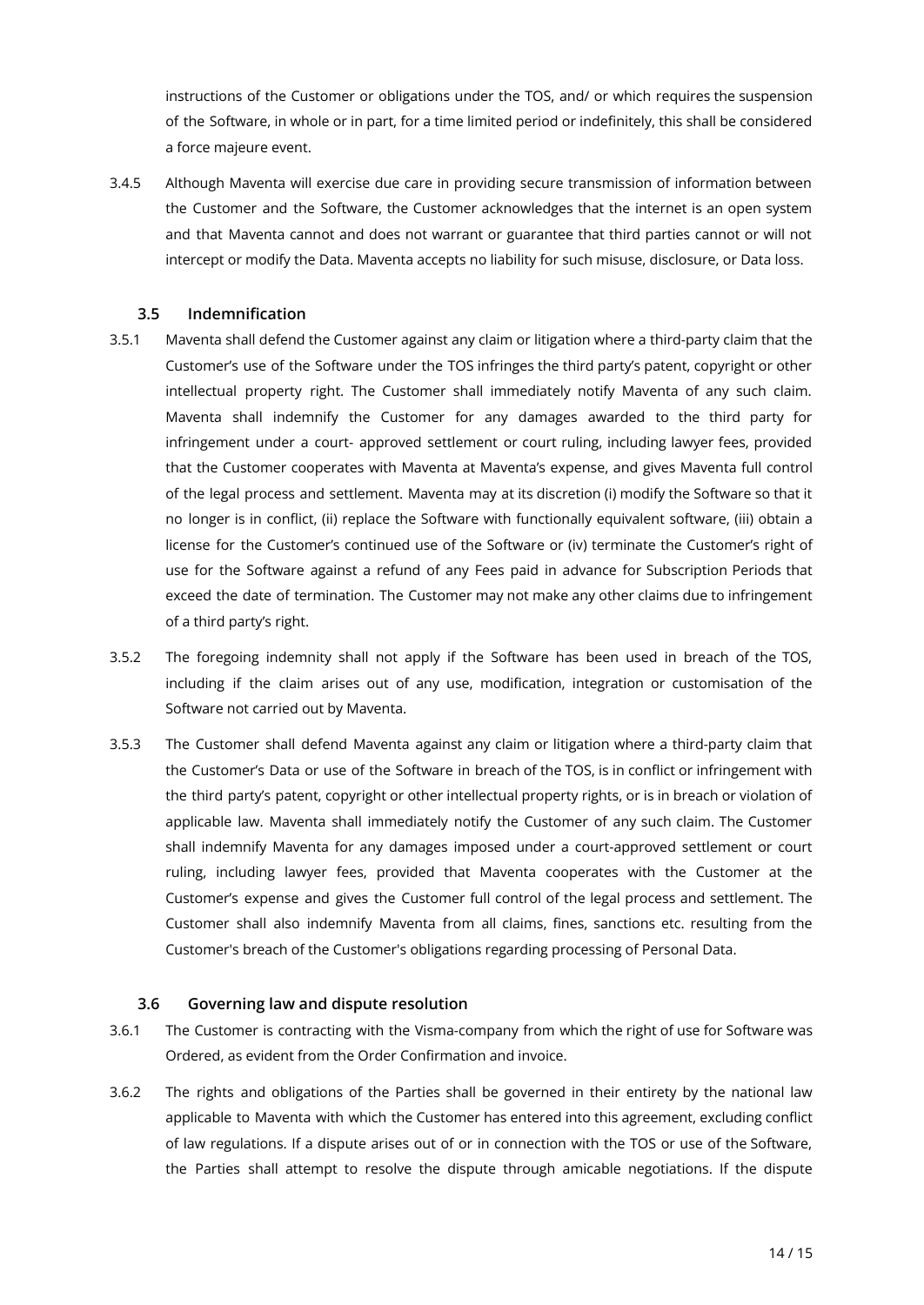instructions of the Customer or obligations under the TOS, and/ or which requires the suspension of the Software, in whole or in part, for a time limited period or indefinitely, this shall be considered a force majeure event.

3.4.5 Although Maventa will exercise due care in providing secure transmission of information between the Customer and the Software, the Customer acknowledges that the internet is an open system and that Maventa cannot and does not warrant or guarantee that third parties cannot or will not intercept or modify the Data. Maventa accepts no liability for such misuse, disclosure, or Data loss.

#### <span id="page-18-0"></span>**3.5 Indemnification**

- 3.5.1 Maventa shall defend the Customer against any claim or litigation where a third-party claim that the Customer's use of the Software under the TOS infringes the third party's patent, copyright or other intellectual property right. The Customer shall immediately notify Maventa of any such claim. Maventa shall indemnify the Customer for any damages awarded to the third party for infringement under a court- approved settlement or court ruling, including lawyer fees, provided that the Customer cooperates with Maventa at Maventa's expense, and gives Maventa full control of the legal process and settlement. Maventa may at its discretion (i) modify the Software so that it no longer is in conflict, (ii) replace the Software with functionally equivalent software, (iii) obtain a license for the Customer's continued use of the Software or (iv) terminate the Customer's right of use for the Software against a refund of any Fees paid in advance for Subscription Periods that exceed the date of termination. The Customer may not make any other claims due to infringement of a third party's right.
- 3.5.2 The foregoing indemnity shall not apply if the Software has been used in breach of the TOS, including if the claim arises out of any use, modification, integration or customisation of the Software not carried out by Maventa.
- 3.5.3 The Customer shall defend Maventa against any claim or litigation where a third-party claim that the Customer's Data or use of the Software in breach of the TOS, is in conflict or infringement with the third party's patent, copyright or other intellectual property rights, or is in breach or violation of applicable law. Maventa shall immediately notify the Customer of any such claim. The Customer shall indemnify Maventa for any damages imposed under a court-approved settlement or court ruling, including lawyer fees, provided that Maventa cooperates with the Customer at the Customer's expense and gives the Customer full control of the legal process and settlement. The Customer shall also indemnify Maventa from all claims, fines, sanctions etc. resulting from the Customer's breach of the Customer's obligations regarding processing of Personal Data.

#### <span id="page-18-1"></span>**3.6 Governing law and dispute resolution**

- 3.6.1 The Customer is contracting with the Visma-company from which the right of use for Software was Ordered, as evident from the Order Confirmation and invoice.
- 3.6.2 The rights and obligations of the Parties shall be governed in their entirety by the national law applicable to Maventa with which the Customer has entered into this agreement, excluding conflict of law regulations. If a dispute arises out of or in connection with the TOS or use of the Software, the Parties shall attempt to resolve the dispute through amicable negotiations. If the dispute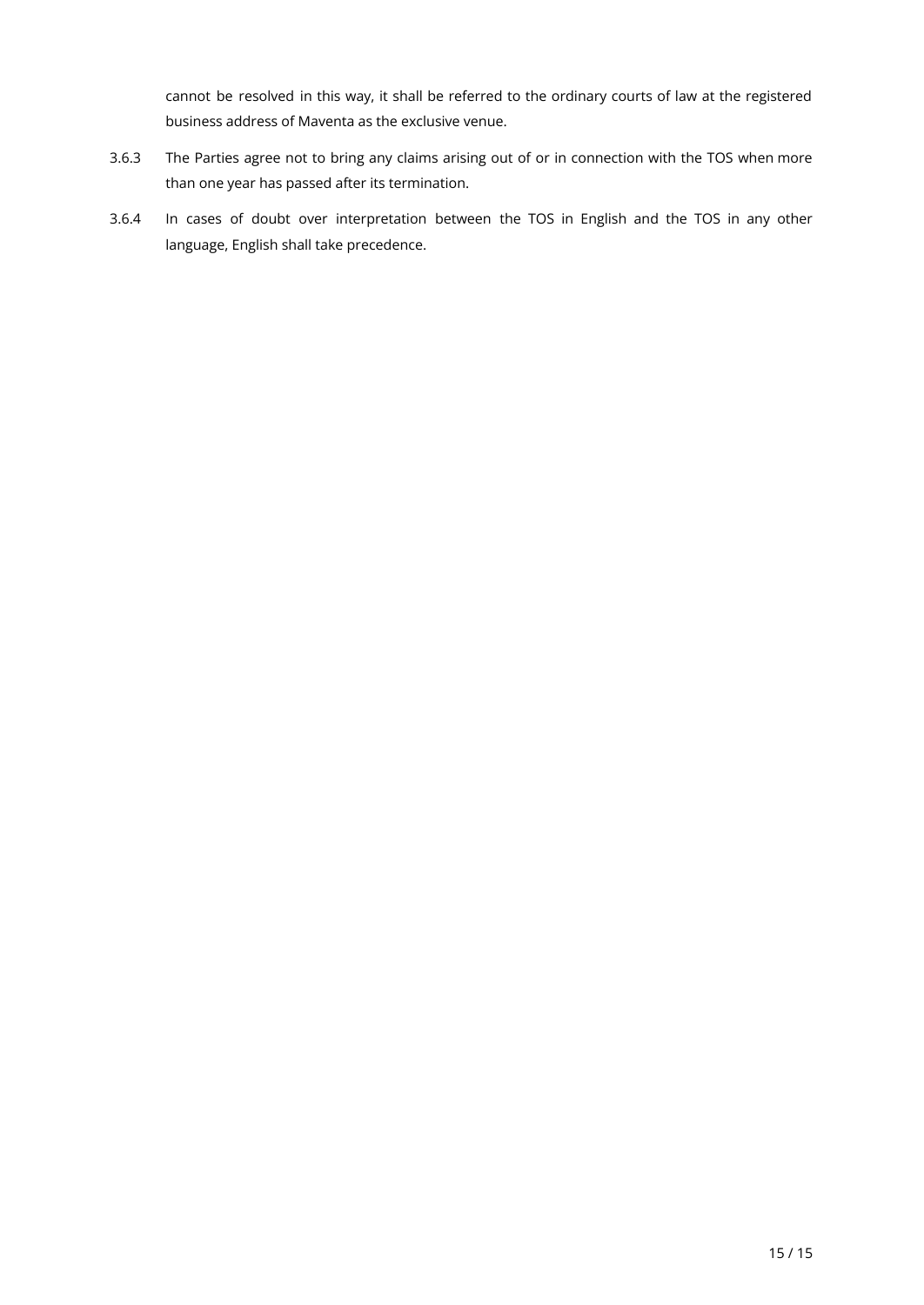cannot be resolved in this way, it shall be referred to the ordinary courts of law at the registered business address of Maventa as the exclusive venue.

- 3.6.3 The Parties agree not to bring any claims arising out of or in connection with the TOS when more than one year has passed after its termination.
- 3.6.4 In cases of doubt over interpretation between the TOS in English and the TOS in any other language, English shall take precedence.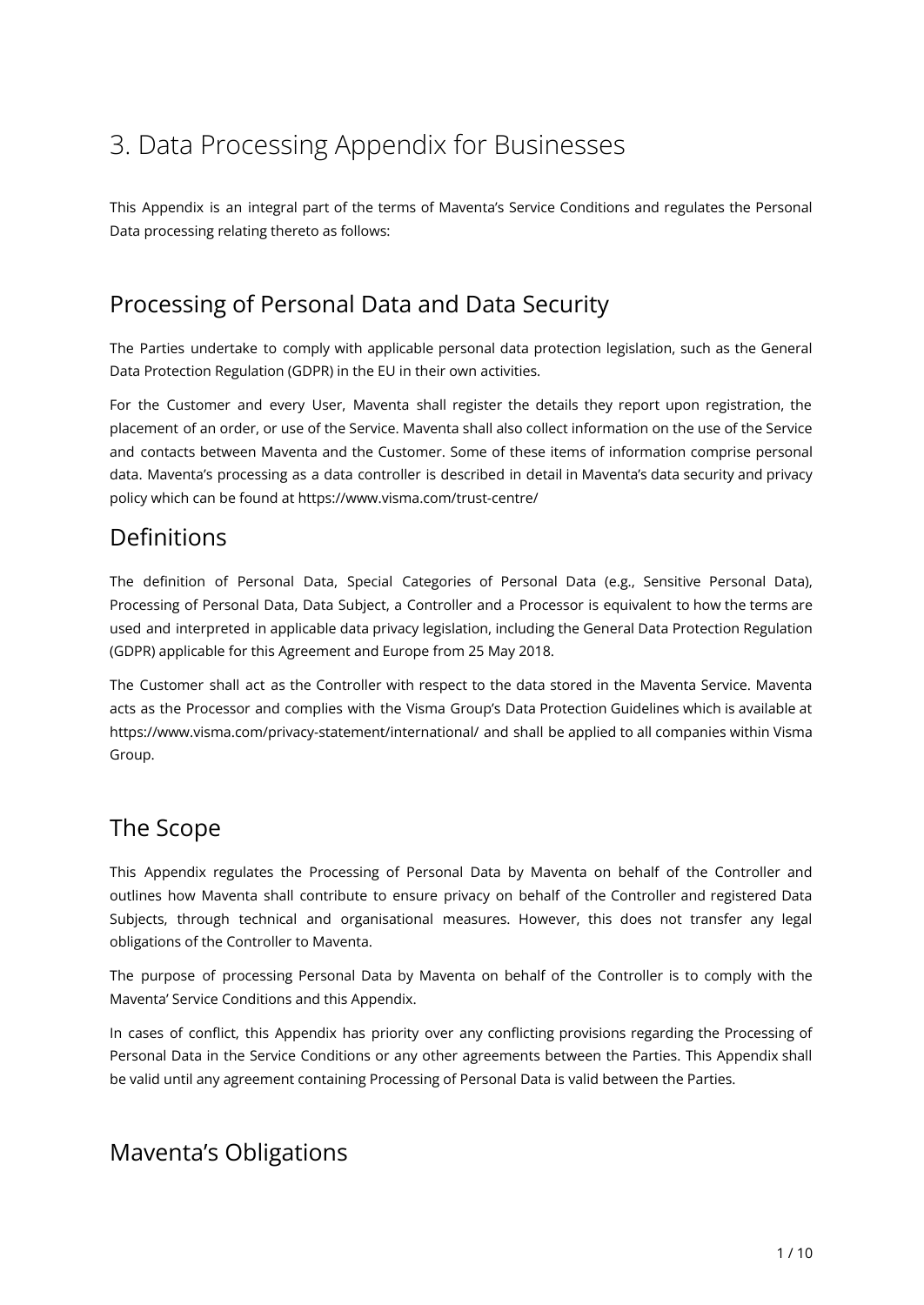# 3. Data Processing Appendix for Businesses

This Appendix is an integral part of the terms of Maventa's Service Conditions and regulates the Personal Data processing relating thereto as follows:

## Processing of Personal Data and Data Security

The Parties undertake to comply with applicable personal data protection legislation, such as the General Data Protection Regulation (GDPR) in the EU in their own activities.

For the Customer and every User, Maventa shall register the details they report upon registration, the placement of an order, or use of the Service. Maventa shall also collect information on the use of the Service and contacts between Maventa and the Customer. Some of these items of information comprise personal data. Maventa's processing as a data controller is described in detail in Maventa's data security and privacy policy which can be found at https://www.visma.com/trust-centre/

### Definitions

The definition of Personal Data, Special Categories of Personal Data (e.g., Sensitive Personal Data), Processing of Personal Data, Data Subject, a Controller and a Processor is equivalent to how the terms are used and interpreted in applicable data privacy legislation, including the General Data Protection Regulation (GDPR) applicable for this Agreement and Europe from 25 May 2018.

The Customer shall act as the Controller with respect to the data stored in the Maventa Service. Maventa acts as the Processor and complies with the Visma Group's Data Protection Guidelines which is available at https://www.visma.com/privacy-statement/international/ and shall be applied to all companies within Visma Group.

### The Scope

This Appendix regulates the Processing of Personal Data by Maventa on behalf of the Controller and outlines how Maventa shall contribute to ensure privacy on behalf of the Controller and registered Data Subjects, through technical and organisational measures. However, this does not transfer any legal obligations of the Controller to Maventa.

The purpose of processing Personal Data by Maventa on behalf of the Controller is to comply with the Maventa' Service Conditions and this Appendix.

In cases of conflict, this Appendix has priority over any conflicting provisions regarding the Processing of Personal Data in the Service Conditions or any other agreements between the Parties. This Appendix shall be valid until any agreement containing Processing of Personal Data is valid between the Parties.

### Maventa's Obligations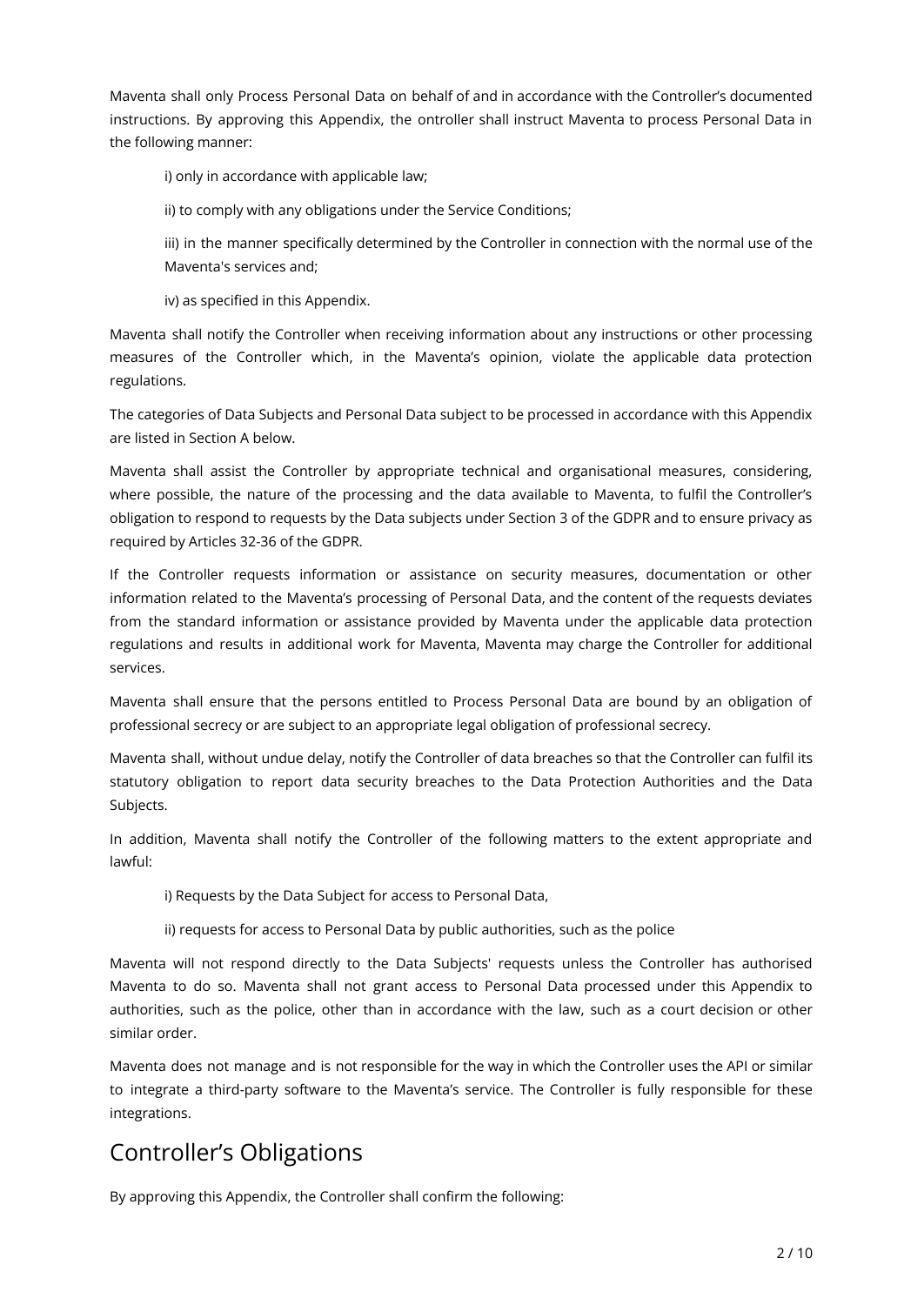Maventa shall only Process Personal Data on behalf of and in accordance with the Controller's documented instructions. By approving this Appendix, the ontroller shall instruct Maventa to process Personal Data in the following manner:

i) only in accordance with applicable law;

ii) to comply with any obligations under the Service Conditions;

iii) in the manner specifically determined by the Controller in connection with the normal use of the Maventa's services and;

iv) as specified in this Appendix.

Maventa shall notify the Controller when receiving information about any instructions or other processing measures of the Controller which, in the Maventa's opinion, violate the applicable data protection regulations.

The categories of Data Subjects and Personal Data subject to be processed in accordance with this Appendix are listed in Section A below.

Maventa shall assist the Controller by appropriate technical and organisational measures, considering, where possible, the nature of the processing and the data available to Maventa, to fulfil the Controller's obligation to respond to requests by the Data subjects under Section 3 of the GDPR and to ensure privacy as required by Articles 32-36 of the GDPR.

If the Controller requests information or assistance on security measures, documentation or other information related to the Maventa's processing of Personal Data, and the content of the requests deviates from the standard information or assistance provided by Maventa under the applicable data protection regulations and results in additional work for Maventa, Maventa may charge the Controller for additional services.

Maventa shall ensure that the persons entitled to Process Personal Data are bound by an obligation of professional secrecy or are subject to an appropriate legal obligation of professional secrecy.

Maventa shall, without undue delay, notify the Controller of data breaches so that the Controller can fulfil its statutory obligation to report data security breaches to the Data Protection Authorities and the Data Subjects.

In addition, Maventa shall notify the Controller of the following matters to the extent appropriate and lawful:

i) Requests by the Data Subject for access to Personal Data,

ii) requests for access to Personal Data by public authorities, such as the police

Maventa will not respond directly to the Data Subjects' requests unless the Controller has authorised Maventa to do so. Maventa shall not grant access to Personal Data processed under this Appendix to authorities, such as the police, other than in accordance with the law, such as a court decision or other similar order.

Maventa does not manage and is not responsible for the way in which the Controller uses the API or similar to integrate a third-party software to the Maventa's service. The Controller is fully responsible for these integrations.

# Controller's Obligations

By approving this Appendix, the Controller shall confirm the following: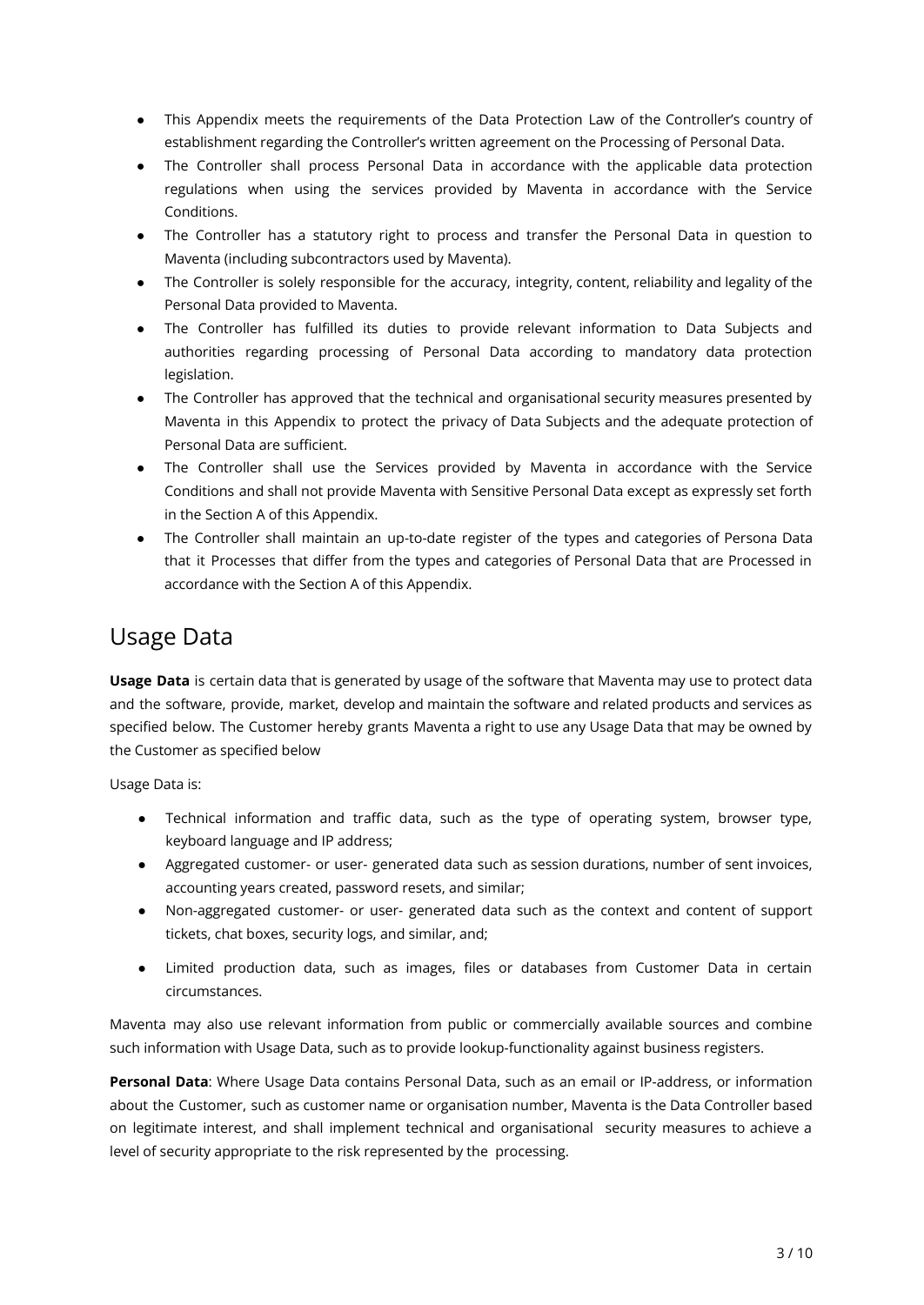- This Appendix meets the requirements of the Data Protection Law of the Controller's country of establishment regarding the Controller's written agreement on the Processing of Personal Data.
- The Controller shall process Personal Data in accordance with the applicable data protection regulations when using the services provided by Maventa in accordance with the Service Conditions.
- The Controller has a statutory right to process and transfer the Personal Data in question to Maventa (including subcontractors used by Maventa).
- The Controller is solely responsible for the accuracy, integrity, content, reliability and legality of the Personal Data provided to Maventa.
- The Controller has fulfilled its duties to provide relevant information to Data Subjects and authorities regarding processing of Personal Data according to mandatory data protection legislation.
- The Controller has approved that the technical and organisational security measures presented by Maventa in this Appendix to protect the privacy of Data Subjects and the adequate protection of Personal Data are sufficient.
- The Controller shall use the Services provided by Maventa in accordance with the Service Conditions and shall not provide Maventa with Sensitive Personal Data except as expressly set forth in the Section A of this Appendix.
- The Controller shall maintain an up-to-date register of the types and categories of Persona Data that it Processes that differ from the types and categories of Personal Data that are Processed in accordance with the Section A of this Appendix.

### Usage Data

**Usage Data** is certain data that is generated by usage of the software that Maventa may use to protect data and the software, provide, market, develop and maintain the software and related products and services as specified below. The Customer hereby grants Maventa a right to use any Usage Data that may be owned by the Customer as specified below

Usage Data is:

- Technical information and traffic data, such as the type of operating system, browser type, keyboard language and IP address;
- Aggregated customer- or user- generated data such as session durations, number of sent invoices, accounting years created, password resets, and similar;
- Non-aggregated customer- or user- generated data such as the context and content of support tickets, chat boxes, security logs, and similar, and;
- Limited production data, such as images, files or databases from Customer Data in certain circumstances.

Maventa may also use relevant information from public or commercially available sources and combine such information with Usage Data, such as to provide lookup-functionality against business registers.

**Personal Data**: Where Usage Data contains Personal Data, such as an email or IP-address, or information about the Customer, such as customer name or organisation number, Maventa is the Data Controller based on legitimate interest, and shall implement technical and organisational security measures to achieve a level of security appropriate to the risk represented by the processing.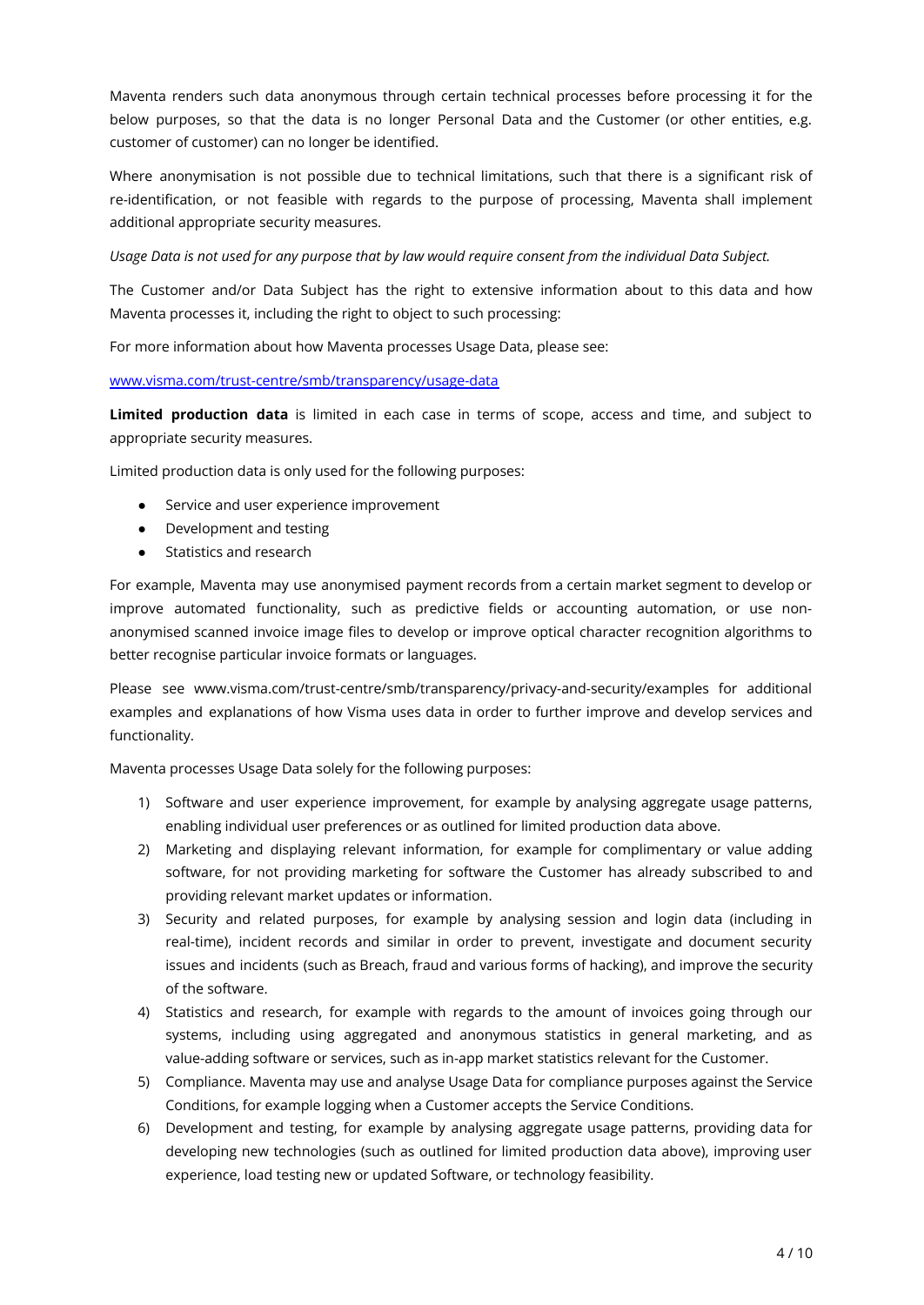Maventa renders such data anonymous through certain technical processes before processing it for the below purposes, so that the data is no longer Personal Data and the Customer (or other entities, e.g. customer of customer) can no longer be identified.

Where anonymisation is not possible due to technical limitations, such that there is a significant risk of re-identification, or not feasible with regards to the purpose of processing, Maventa shall implement additional appropriate security measures.

*Usage Data is not used for any purpose that by law would require consent from the individual Data Subject.*

The Customer and/or Data Subject has the right to extensive information about to this data and how Maventa processes it, including the right to object to such processing:

For more information about how Maventa processes Usage Data, please see:

#### [www.visma.com/trust-centre/smb/transparency/usage-data](http://www.visma.com/trust-centre/smb/transparency/usage-data)

**Limited production data** is limited in each case in terms of scope, access and time, and subject to appropriate security measures.

Limited production data is only used for the following purposes:

- Service and user experience improvement
- Development and testing
- Statistics and research

For example, Maventa may use anonymised payment records from a certain market segment to develop or improve automated functionality, such as predictive fields or accounting automation, or use nonanonymised scanned invoice image files to develop or improve optical character recognition algorithms to better recognise particular invoice formats or languages.

Please see www.visma.com/trust-centre/smb/transparency/privacy-and-security/examples for additional examples and explanations of how Visma uses data in order to further improve and develop services and functionality.

Maventa processes Usage Data solely for the following purposes:

- 1) Software and user experience improvement, for example by analysing aggregate usage patterns, enabling individual user preferences or as outlined for limited production data above.
- 2) Marketing and displaying relevant information, for example for complimentary or value adding software, for not providing marketing for software the Customer has already subscribed to and providing relevant market updates or information.
- 3) Security and related purposes, for example by analysing session and login data (including in real-time), incident records and similar in order to prevent, investigate and document security issues and incidents (such as Breach, fraud and various forms of hacking), and improve the security of the software.
- 4) Statistics and research, for example with regards to the amount of invoices going through our systems, including using aggregated and anonymous statistics in general marketing, and as value-adding software or services, such as in-app market statistics relevant for the Customer.
- 5) Compliance. Maventa may use and analyse Usage Data for compliance purposes against the Service Conditions, for example logging when a Customer accepts the Service Conditions.
- 6) Development and testing, for example by analysing aggregate usage patterns, providing data for developing new technologies (such as outlined for limited production data above), improving user experience, load testing new or updated Software, or technology feasibility.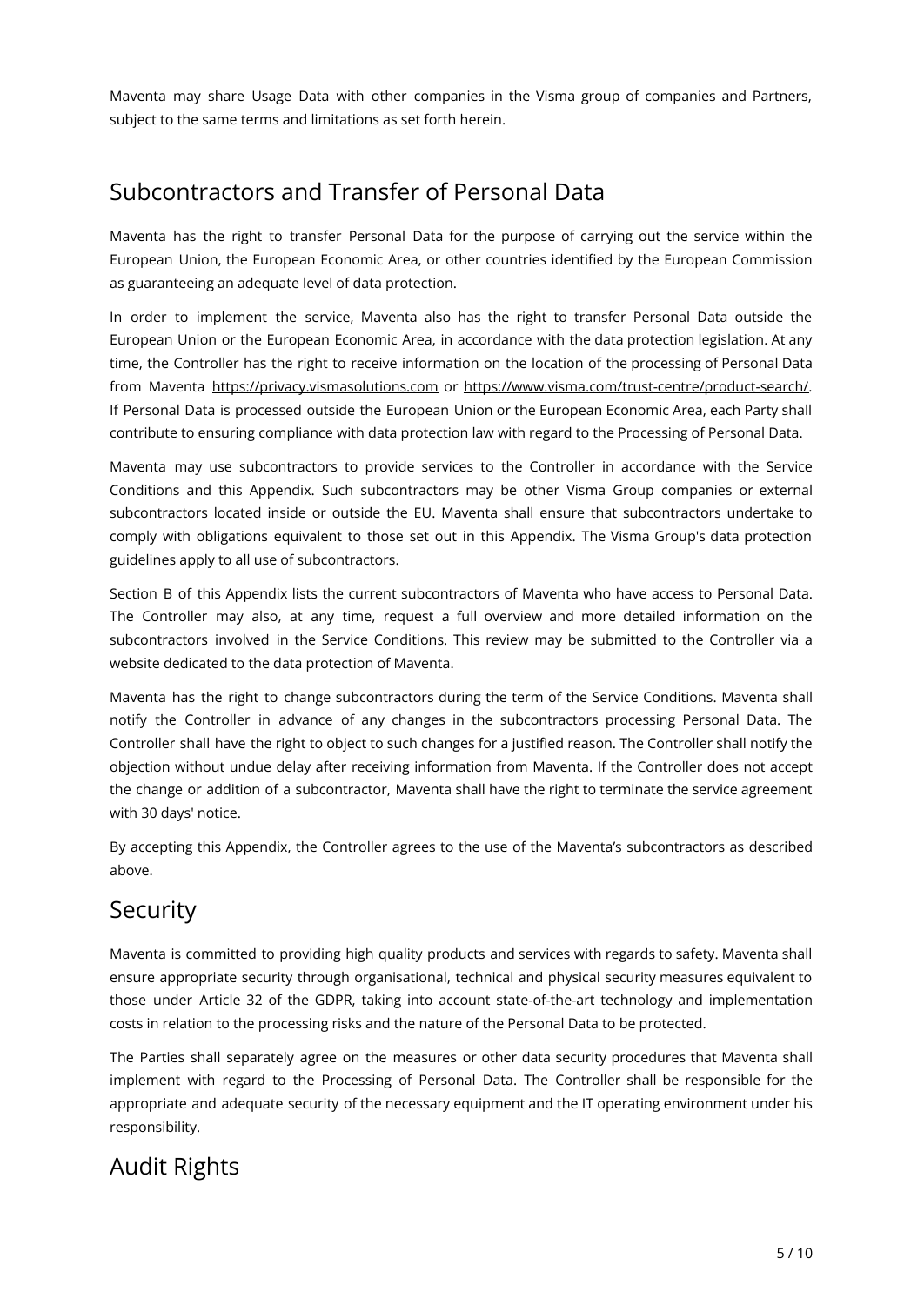Maventa may share Usage Data with other companies in the Visma group of companies and Partners, subject to the same terms and limitations as set forth herein.

### Subcontractors and Transfer of Personal Data

Maventa has the right to transfer Personal Data for the purpose of carrying out the service within the European Union, the European Economic Area, or other countries identified by the European Commission as guaranteeing an adequate level of data protection.

In order to implement the service, Maventa also has the right to transfer Personal Data outside the European Union or the European Economic Area, in accordance with the data protection legislation. At any time, the Controller has the right to receive information on the location of the processing of Personal Data from Maventa <https://privacy.vismasolutions.com> or [https://www.visma.com/trust-centre/product-search/.](https://www.visma.com/trust-centre/product-search/) If Personal Data is processed outside the European Union or the European Economic Area, each Party shall contribute to ensuring compliance with data protection law with regard to the Processing of Personal Data.

Maventa may use subcontractors to provide services to the Controller in accordance with the Service Conditions and this Appendix. Such subcontractors may be other Visma Group companies or external subcontractors located inside or outside the EU. Maventa shall ensure that subcontractors undertake to comply with obligations equivalent to those set out in this Appendix. The Visma Group's data protection guidelines apply to all use of subcontractors.

Section B of this Appendix lists the current subcontractors of Maventa who have access to Personal Data. The Controller may also, at any time, request a full overview and more detailed information on the subcontractors involved in the Service Conditions. This review may be submitted to the Controller via a website dedicated to the data protection of Maventa.

Maventa has the right to change subcontractors during the term of the Service Conditions. Maventa shall notify the Controller in advance of any changes in the subcontractors processing Personal Data. The Controller shall have the right to object to such changes for a justified reason. The Controller shall notify the objection without undue delay after receiving information from Maventa. If the Controller does not accept the change or addition of a subcontractor, Maventa shall have the right to terminate the service agreement with 30 days' notice.

By accepting this Appendix, the Controller agrees to the use of the Maventa's subcontractors as described above.

# Security

Maventa is committed to providing high quality products and services with regards to safety. Maventa shall ensure appropriate security through organisational, technical and physical security measures equivalent to those under Article 32 of the GDPR, taking into account state-of-the-art technology and implementation costs in relation to the processing risks and the nature of the Personal Data to be protected.

The Parties shall separately agree on the measures or other data security procedures that Maventa shall implement with regard to the Processing of Personal Data. The Controller shall be responsible for the appropriate and adequate security of the necessary equipment and the IT operating environment under his responsibility.

# Audit Rights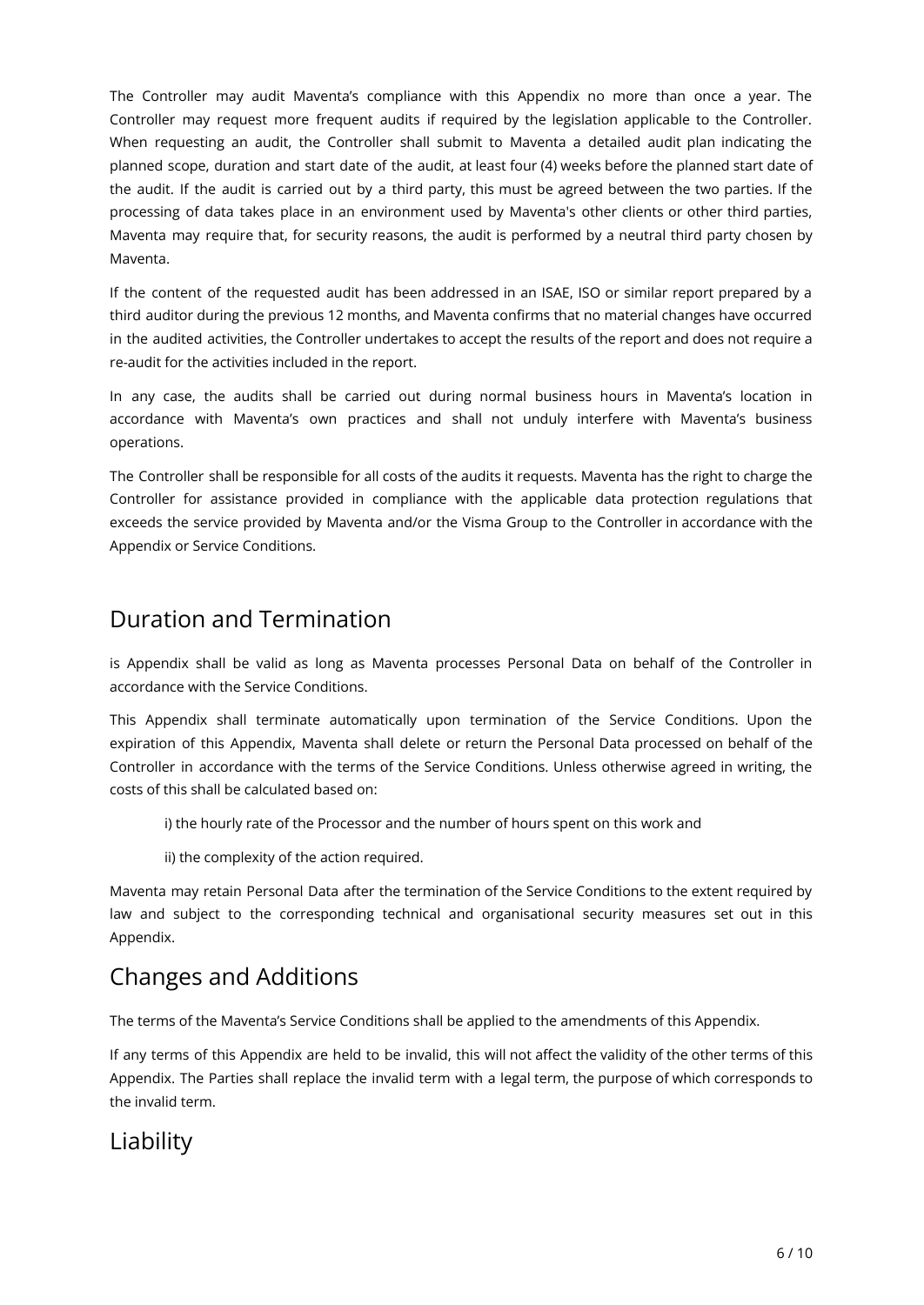The Controller may audit Maventa's compliance with this Appendix no more than once a year. The Controller may request more frequent audits if required by the legislation applicable to the Controller. When requesting an audit, the Controller shall submit to Maventa a detailed audit plan indicating the planned scope, duration and start date of the audit, at least four (4) weeks before the planned start date of the audit. If the audit is carried out by a third party, this must be agreed between the two parties. If the processing of data takes place in an environment used by Maventa's other clients or other third parties, Maventa may require that, for security reasons, the audit is performed by a neutral third party chosen by Maventa.

If the content of the requested audit has been addressed in an ISAE, ISO or similar report prepared by a third auditor during the previous 12 months, and Maventa confirms that no material changes have occurred in the audited activities, the Controller undertakes to accept the results of the report and does not require a re-audit for the activities included in the report.

In any case, the audits shall be carried out during normal business hours in Maventa's location in accordance with Maventa's own practices and shall not unduly interfere with Maventa's business operations.

The Controller shall be responsible for all costs of the audits it requests. Maventa has the right to charge the Controller for assistance provided in compliance with the applicable data protection regulations that exceeds the service provided by Maventa and/or the Visma Group to the Controller in accordance with the Appendix or Service Conditions.

### Duration and Termination

is Appendix shall be valid as long as Maventa processes Personal Data on behalf of the Controller in accordance with the Service Conditions.

This Appendix shall terminate automatically upon termination of the Service Conditions. Upon the expiration of this Appendix, Maventa shall delete or return the Personal Data processed on behalf of the Controller in accordance with the terms of the Service Conditions. Unless otherwise agreed in writing, the costs of this shall be calculated based on:

i) the hourly rate of the Processor and the number of hours spent on this work and

ii) the complexity of the action required.

Maventa may retain Personal Data after the termination of the Service Conditions to the extent required by law and subject to the corresponding technical and organisational security measures set out in this Appendix.

# Changes and Additions

The terms of the Maventa's Service Conditions shall be applied to the amendments of this Appendix.

If any terms of this Appendix are held to be invalid, this will not affect the validity of the other terms of this Appendix. The Parties shall replace the invalid term with a legal term, the purpose of which corresponds to the invalid term.

### Liability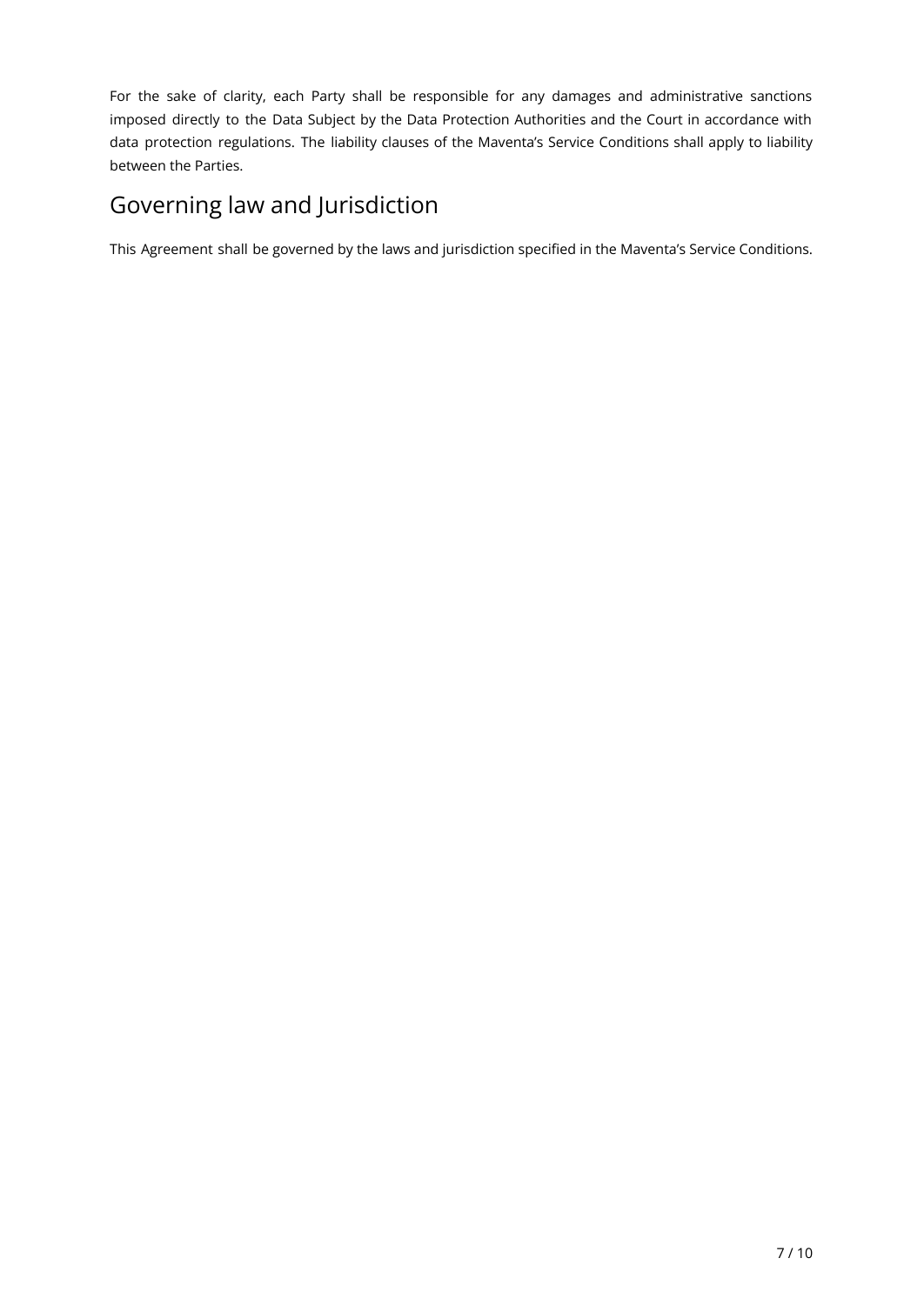For the sake of clarity, each Party shall be responsible for any damages and administrative sanctions imposed directly to the Data Subject by the Data Protection Authorities and the Court in accordance with data protection regulations. The liability clauses of the Maventa's Service Conditions shall apply to liability between the Parties.

# Governing law and Jurisdiction

This Agreement shall be governed by the laws and jurisdiction specified in the Maventa's Service Conditions.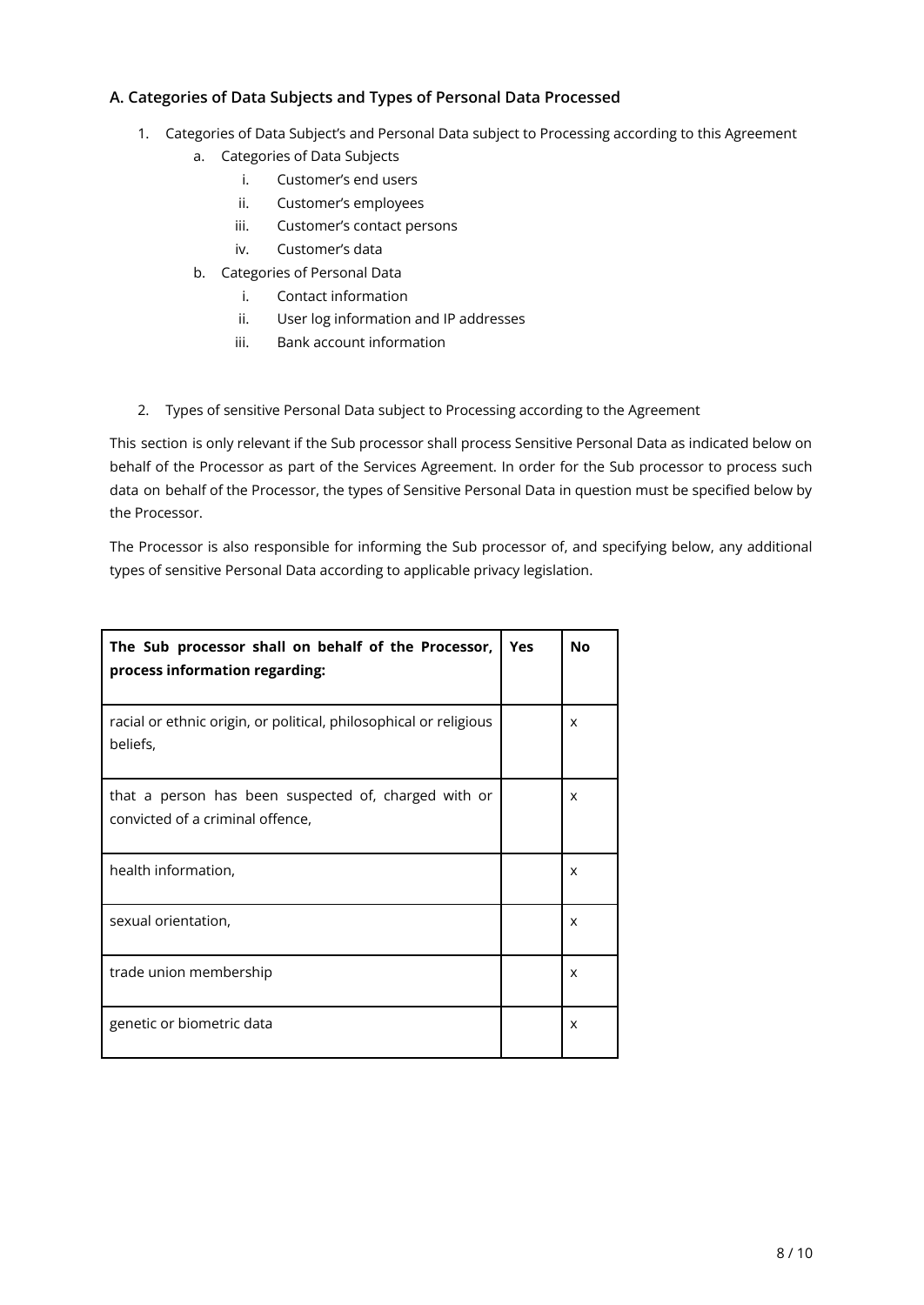#### **A. Categories of Data Subjects and Types of Personal Data Processed**

- 1. Categories of Data Subject's and Personal Data subject to Processing according to this Agreement
	- a. Categories of Data Subjects
		- i. Customer's end users
		- ii. Customer's employees
		- iii. Customer's contact persons
		- iv. Customer's data
	- b. Categories of Personal Data
		- i. Contact information
		- ii. User log information and IP addresses
		- iii. Bank account information
- 2. Types of sensitive Personal Data subject to Processing according to the Agreement

This section is only relevant if the Sub processor shall process Sensitive Personal Data as indicated below on behalf of the Processor as part of the Services Agreement. In order for the Sub processor to process such data on behalf of the Processor, the types of Sensitive Personal Data in question must be specified below by the Processor.

The Processor is also responsible for informing the Sub processor of, and specifying below, any additional types of sensitive Personal Data according to applicable privacy legislation.

| The Sub processor shall on behalf of the Processor,<br>process information regarding:    | <b>Yes</b> | <b>No</b> |
|------------------------------------------------------------------------------------------|------------|-----------|
| racial or ethnic origin, or political, philosophical or religious<br>beliefs,            |            | x         |
| that a person has been suspected of, charged with or<br>convicted of a criminal offence, |            | X         |
| health information,                                                                      |            | X         |
| sexual orientation,                                                                      |            | x         |
| trade union membership                                                                   |            | x         |
| genetic or biometric data                                                                |            | X         |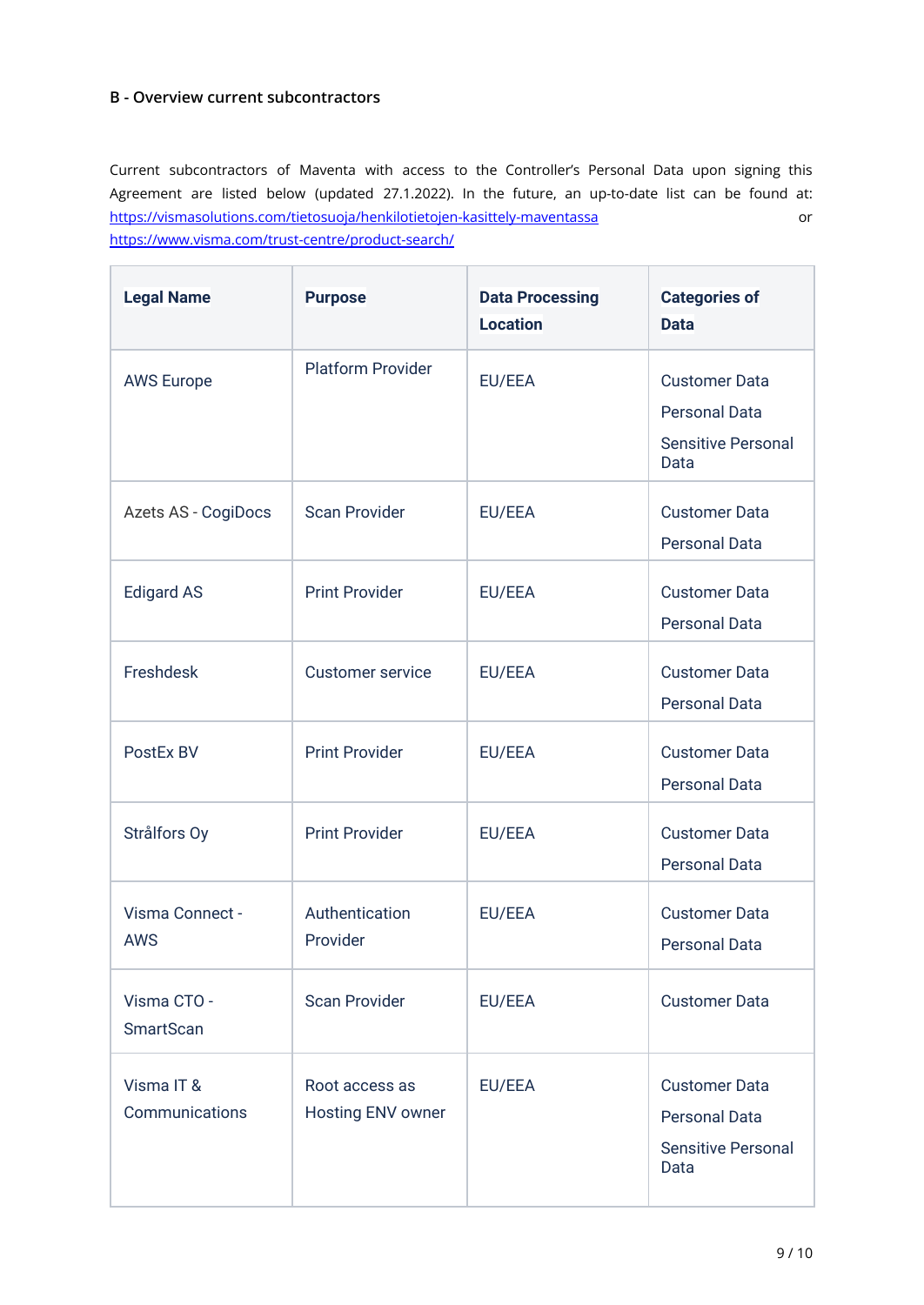#### **B - Overview current subcontractors**

Current subcontractors of Maventa with access to the Controller's Personal Data upon signing this Agreement are listed below (updated 27.1.2022). In the future, an up-to-date list can be found at: <https://vismasolutions.com/tietosuoja/henkilotietojen-kasittely-maventassa> or <https://www.visma.com/trust-centre/product-search/>

| <b>Legal Name</b>               | <b>Purpose</b>                      | <b>Data Processing</b><br><b>Location</b> | <b>Categories of</b><br><b>Data</b>                                               |
|---------------------------------|-------------------------------------|-------------------------------------------|-----------------------------------------------------------------------------------|
| <b>AWS Europe</b>               | <b>Platform Provider</b>            | EU/EEA                                    | <b>Customer Data</b><br><b>Personal Data</b><br><b>Sensitive Personal</b><br>Data |
| Azets AS - CogiDocs             | <b>Scan Provider</b>                | EU/EEA                                    | <b>Customer Data</b><br><b>Personal Data</b>                                      |
| <b>Edigard AS</b>               | <b>Print Provider</b>               | EU/EEA                                    | <b>Customer Data</b><br><b>Personal Data</b>                                      |
| Freshdesk                       | <b>Customer service</b>             | EU/EEA                                    | <b>Customer Data</b><br><b>Personal Data</b>                                      |
| PostEx BV                       | <b>Print Provider</b>               | EU/EEA                                    | <b>Customer Data</b><br><b>Personal Data</b>                                      |
| Strålfors Oy                    | <b>Print Provider</b>               | EU/EEA                                    | <b>Customer Data</b><br><b>Personal Data</b>                                      |
| Visma Connect -<br><b>AWS</b>   | Authentication<br>Provider          | EU/EEA                                    | <b>Customer Data</b><br><b>Personal Data</b>                                      |
| Visma CTO -<br><b>SmartScan</b> | <b>Scan Provider</b>                | EU/EEA                                    | <b>Customer Data</b>                                                              |
| Visma IT &<br>Communications    | Root access as<br>Hosting ENV owner | EU/EEA                                    | <b>Customer Data</b><br><b>Personal Data</b><br><b>Sensitive Personal</b><br>Data |